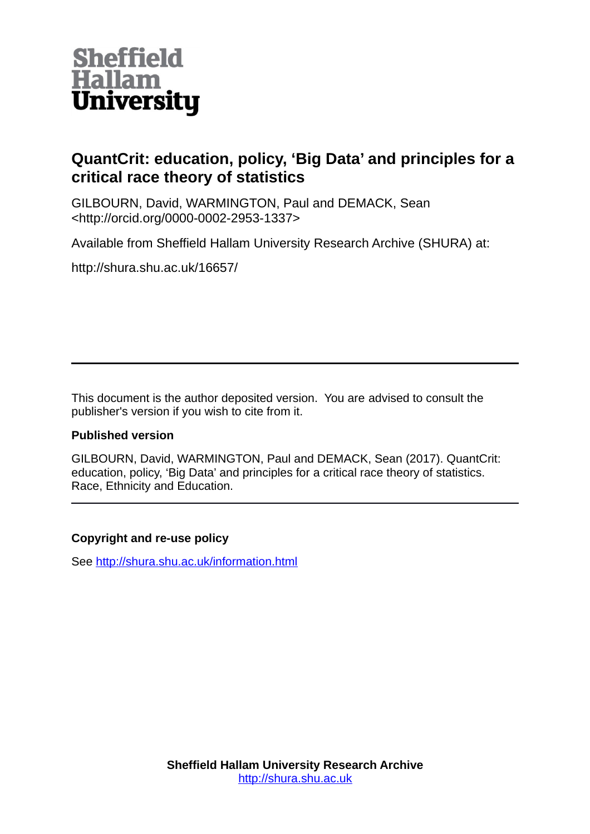

# **QuantCrit: education, policy, 'Big Data' and principles for a critical race theory of statistics**

GILBOURN, David, WARMINGTON, Paul and DEMACK, Sean <http://orcid.org/0000-0002-2953-1337>

Available from Sheffield Hallam University Research Archive (SHURA) at:

http://shura.shu.ac.uk/16657/

This document is the author deposited version. You are advised to consult the publisher's version if you wish to cite from it.

### **Published version**

GILBOURN, David, WARMINGTON, Paul and DEMACK, Sean (2017). QuantCrit: education, policy, 'Big Data' and principles for a critical race theory of statistics. Race, Ethnicity and Education.

### **Copyright and re-use policy**

See<http://shura.shu.ac.uk/information.html>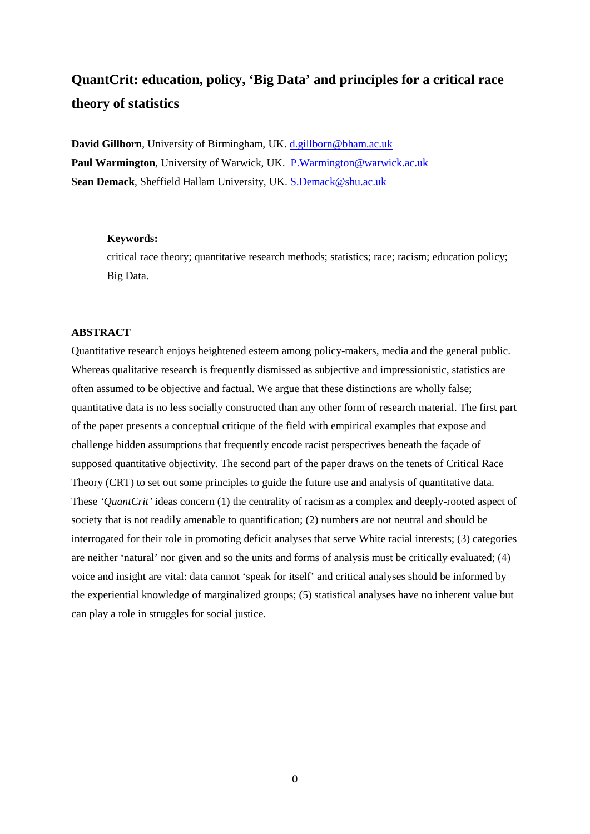# **QuantCrit: education, policy, 'Big Data' and principles for a critical race theory of statistics**

**David Gillborn**, University of Birmingham, UK. [d.gillborn@bham.ac.uk](mailto:d.gillborn@bham.ac.uk) **Paul Warmington**, University of Warwick, UK. [P.Warmington@warwick.ac.uk](mailto:P.Warmington@warwick.ac.uk) **Sean Demack**, Sheffield Hallam University, UK. [S.Demack@shu.ac.uk](mailto:S.Demack@shu.ac.uk)

#### **Keywords:**

critical race theory; quantitative research methods; statistics; race; racism; education policy; Big Data.

#### **ABSTRACT**

Quantitative research enjoys heightened esteem among policy-makers, media and the general public. Whereas qualitative research is frequently dismissed as subjective and impressionistic, statistics are often assumed to be objective and factual. We argue that these distinctions are wholly false; quantitative data is no less socially constructed than any other form of research material. The first part of the paper presents a conceptual critique of the field with empirical examples that expose and challenge hidden assumptions that frequently encode racist perspectives beneath the façade of supposed quantitative objectivity. The second part of the paper draws on the tenets of Critical Race Theory (CRT) to set out some principles to guide the future use and analysis of quantitative data. These *'QuantCrit'* ideas concern (1) the centrality of racism as a complex and deeply-rooted aspect of society that is not readily amenable to quantification; (2) numbers are not neutral and should be interrogated for their role in promoting deficit analyses that serve White racial interests; (3) categories are neither 'natural' nor given and so the units and forms of analysis must be critically evaluated; (4) voice and insight are vital: data cannot 'speak for itself' and critical analyses should be informed by the experiential knowledge of marginalized groups; (5) statistical analyses have no inherent value but can play a role in struggles for social justice.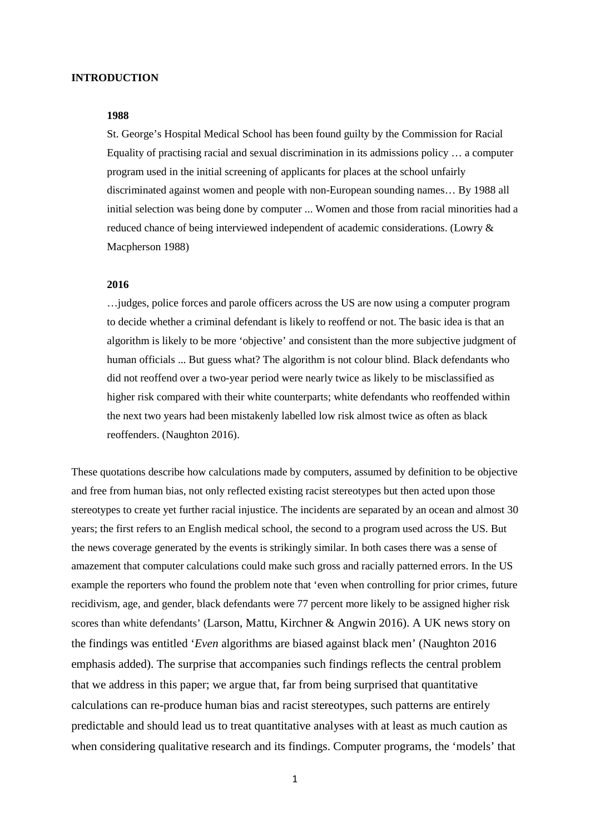#### **INTRODUCTION**

#### **1988**

St. George's Hospital Medical School has been found guilty by the Commission for Racial Equality of practising racial and sexual discrimination in its admissions policy … a computer program used in the initial screening of applicants for places at the school unfairly discriminated against women and people with non-European sounding names… By 1988 all initial selection was being done by computer ... Women and those from racial minorities had a reduced chance of being interviewed independent of academic considerations. (Lowry & Macpherson 1988)

#### **2016**

…judges, police forces and parole officers across the US are now using a computer program to decide whether a criminal defendant is likely to reoffend or not. The basic idea is that an algorithm is likely to be more 'objective' and consistent than the more subjective judgment of human officials ... But guess what? The algorithm is not colour blind. Black defendants who did not reoffend over a two-year period were nearly twice as likely to be misclassified as higher risk compared with their white counterparts; white defendants who reoffended within the next two years had been mistakenly labelled low risk almost twice as often as black reoffenders. (Naughton 2016).

These quotations describe how calculations made by computers, assumed by definition to be objective and free from human bias, not only reflected existing racist stereotypes but then acted upon those stereotypes to create yet further racial injustice. The incidents are separated by an ocean and almost 30 years; the first refers to an English medical school, the second to a program used across the US. But the news coverage generated by the events is strikingly similar. In both cases there was a sense of amazement that computer calculations could make such gross and racially patterned errors. In the US example the reporters who found the problem note that 'even when controlling for prior crimes, future recidivism, age, and gender, black defendants were 77 percent more likely to be assigned higher risk scores than white defendants' (Larson, Mattu, Kirchner & Angwin 2016). A UK news story on the findings was entitled '*Even* algorithms are biased against black men' (Naughton 2016 emphasis added). The surprise that accompanies such findings reflects the central problem that we address in this paper; we argue that, far from being surprised that quantitative calculations can re-produce human bias and racist stereotypes, such patterns are entirely predictable and should lead us to treat quantitative analyses with at least as much caution as when considering qualitative research and its findings. Computer programs, the 'models' that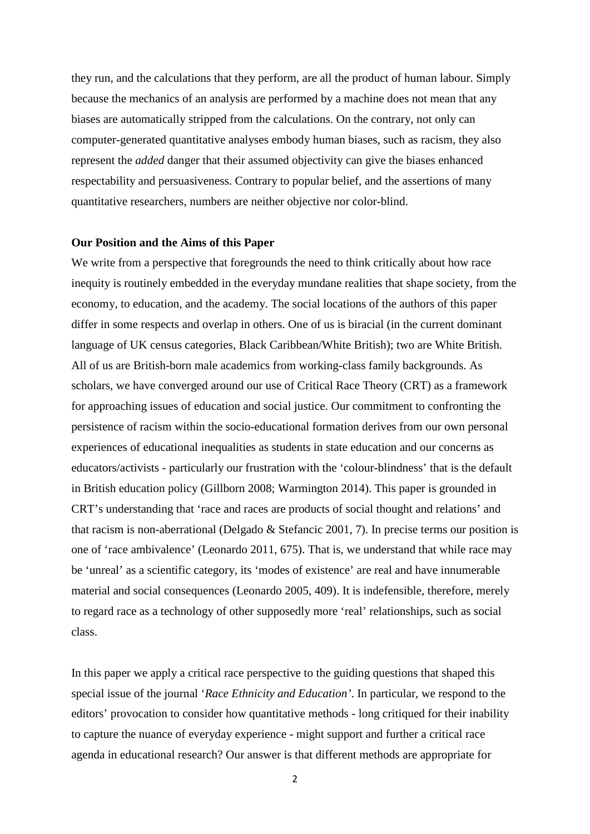they run, and the calculations that they perform, are all the product of human labour. Simply because the mechanics of an analysis are performed by a machine does not mean that any biases are automatically stripped from the calculations. On the contrary, not only can computer-generated quantitative analyses embody human biases, such as racism, they also represent the *added* danger that their assumed objectivity can give the biases enhanced respectability and persuasiveness. Contrary to popular belief, and the assertions of many quantitative researchers, numbers are neither objective nor color-blind.

#### **Our Position and the Aims of this Paper**

We write from a perspective that foregrounds the need to think critically about how race inequity is routinely embedded in the everyday mundane realities that shape society, from the economy, to education, and the academy. The social locations of the authors of this paper differ in some respects and overlap in others. One of us is biracial (in the current dominant language of UK census categories, Black Caribbean/White British); two are White British. All of us are British-born male academics from working-class family backgrounds. As scholars, we have converged around our use of Critical Race Theory (CRT) as a framework for approaching issues of education and social justice. Our commitment to confronting the persistence of racism within the socio-educational formation derives from our own personal experiences of educational inequalities as students in state education and our concerns as educators/activists - particularly our frustration with the 'colour-blindness' that is the default in British education policy (Gillborn 2008; Warmington 2014). This paper is grounded in CRT's understanding that 'race and races are products of social thought and relations' and that racism is non-aberrational (Delgado & Stefancic 2001, 7). In precise terms our position is one of 'race ambivalence' (Leonardo 2011, 675). That is, we understand that while race may be 'unreal' as a scientific category, its 'modes of existence' are real and have innumerable material and social consequences (Leonardo 2005, 409). It is indefensible, therefore, merely to regard race as a technology of other supposedly more 'real' relationships, such as social class.

In this paper we apply a critical race perspective to the guiding questions that shaped this special issue of the journal '*Race Ethnicity and Education'*. In particular, we respond to the editors' provocation to consider how quantitative methods - long critiqued for their inability to capture the nuance of everyday experience - might support and further a critical race agenda in educational research? Our answer is that different methods are appropriate for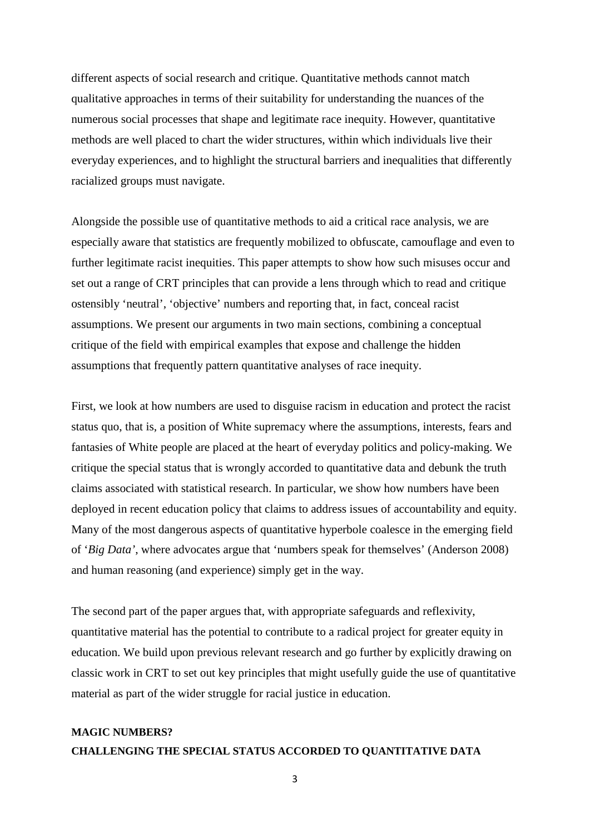different aspects of social research and critique. Quantitative methods cannot match qualitative approaches in terms of their suitability for understanding the nuances of the numerous social processes that shape and legitimate race inequity. However, quantitative methods are well placed to chart the wider structures, within which individuals live their everyday experiences, and to highlight the structural barriers and inequalities that differently racialized groups must navigate.

Alongside the possible use of quantitative methods to aid a critical race analysis, we are especially aware that statistics are frequently mobilized to obfuscate, camouflage and even to further legitimate racist inequities. This paper attempts to show how such misuses occur and set out a range of CRT principles that can provide a lens through which to read and critique ostensibly 'neutral', 'objective' numbers and reporting that, in fact, conceal racist assumptions. We present our arguments in two main sections, combining a conceptual critique of the field with empirical examples that expose and challenge the hidden assumptions that frequently pattern quantitative analyses of race inequity.

First, we look at how numbers are used to disguise racism in education and protect the racist status quo, that is, a position of White supremacy where the assumptions, interests, fears and fantasies of White people are placed at the heart of everyday politics and policy-making. We critique the special status that is wrongly accorded to quantitative data and debunk the truth claims associated with statistical research. In particular, we show how numbers have been deployed in recent education policy that claims to address issues of accountability and equity. Many of the most dangerous aspects of quantitative hyperbole coalesce in the emerging field of '*Big Data'*, where advocates argue that 'numbers speak for themselves' (Anderson 2008) and human reasoning (and experience) simply get in the way.

The second part of the paper argues that, with appropriate safeguards and reflexivity, quantitative material has the potential to contribute to a radical project for greater equity in education. We build upon previous relevant research and go further by explicitly drawing on classic work in CRT to set out key principles that might usefully guide the use of quantitative material as part of the wider struggle for racial justice in education.

## **MAGIC NUMBERS? CHALLENGING THE SPECIAL STATUS ACCORDED TO QUANTITATIVE DATA**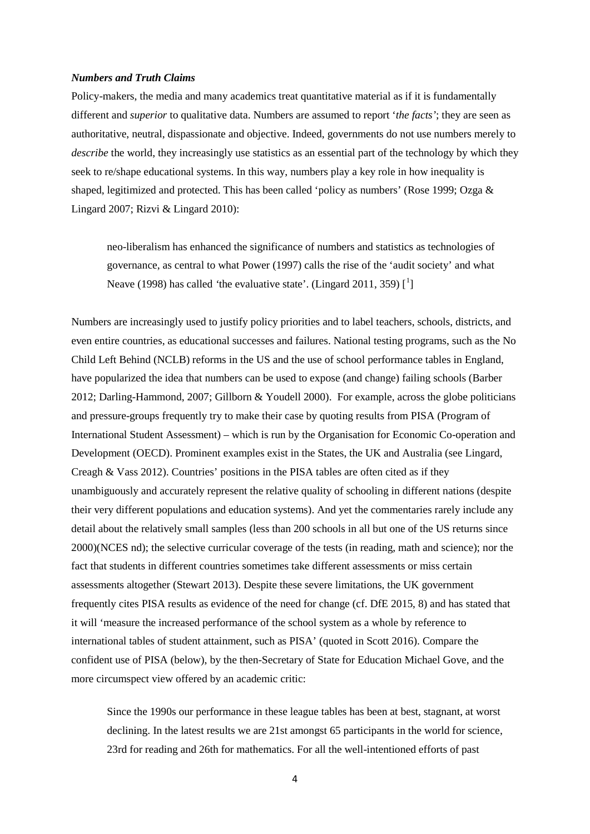#### *Numbers and Truth Claims*

Policy-makers, the media and many academics treat quantitative material as if it is fundamentally different and *superior* to qualitative data. Numbers are assumed to report '*the facts'*; they are seen as authoritative, neutral, dispassionate and objective. Indeed, governments do not use numbers merely to *describe* the world, they increasingly use statistics as an essential part of the technology by which they seek to re/shape educational systems. In this way, numbers play a key role in how inequality is shaped, legitimized and protected. This has been called 'policy as numbers' (Rose 1999; Ozga & Lingard 2007; Rizvi & Lingard 2010):

neo-liberalism has enhanced the significance of numbers and statistics as technologies of governance, as central to what Power (1997) calls the rise of the 'audit society' and what Neave ([1](#page-27-0)998) has called 'the evaluative state'. (Lingard 2011, 359) [<sup>1</sup>]

Numbers are increasingly used to justify policy priorities and to label teachers, schools, districts, and even entire countries, as educational successes and failures. National testing programs, such as the No Child Left Behind (NCLB) reforms in the US and the use of school performance tables in England, have popularized the idea that numbers can be used to expose (and change) failing schools (Barber 2012; Darling-Hammond, 2007; Gillborn & Youdell 2000). For example, across the globe politicians and pressure-groups frequently try to make their case by quoting results from PISA (Program of International Student Assessment) – which is run by the Organisation for Economic Co-operation and Development (OECD). Prominent examples exist in the States, the UK and Australia (see Lingard, Creagh & Vass 2012). Countries' positions in the PISA tables are often cited as if they unambiguously and accurately represent the relative quality of schooling in different nations (despite their very different populations and education systems). And yet the commentaries rarely include any detail about the relatively small samples (less than 200 schools in all but one of the US returns since 2000)(NCES nd); the selective curricular coverage of the tests (in reading, math and science); nor the fact that students in different countries sometimes take different assessments or miss certain assessments altogether (Stewart 2013). Despite these severe limitations, the UK government frequently cites PISA results as evidence of the need for change (cf. DfE 2015, 8) and has stated that it will 'measure the increased performance of the school system as a whole by reference to international tables of student attainment, such as PISA' (quoted in Scott 2016). Compare the confident use of PISA (below), by the then-Secretary of State for Education Michael Gove, and the more circumspect view offered by an academic critic:

Since the 1990s our performance in these league tables has been at best, stagnant, at worst declining. In the latest results we are 21st amongst 65 participants in the world for science, 23rd for reading and 26th for mathematics. For all the well-intentioned efforts of past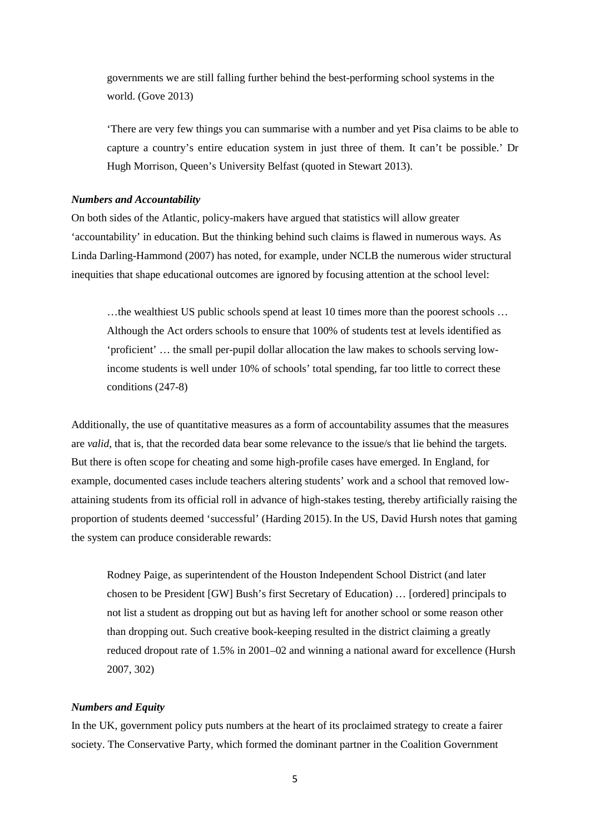governments we are still falling further behind the best-performing school systems in the world. (Gove 2013)

'There are very few things you can summarise with a number and yet Pisa claims to be able to capture a country's entire education system in just three of them. It can't be possible.' Dr Hugh Morrison, Queen's University Belfast (quoted in Stewart 2013).

#### *Numbers and Accountability*

On both sides of the Atlantic, policy-makers have argued that statistics will allow greater 'accountability' in education. But the thinking behind such claims is flawed in numerous ways. As Linda Darling-Hammond (2007) has noted, for example, under NCLB the numerous wider structural inequities that shape educational outcomes are ignored by focusing attention at the school level:

…the wealthiest US public schools spend at least 10 times more than the poorest schools … Although the Act orders schools to ensure that 100% of students test at levels identified as 'proficient' … the small per-pupil dollar allocation the law makes to schools serving lowincome students is well under 10% of schools' total spending, far too little to correct these conditions (247-8)

Additionally, the use of quantitative measures as a form of accountability assumes that the measures are *valid*, that is, that the recorded data bear some relevance to the issue/s that lie behind the targets. But there is often scope for cheating and some high-profile cases have emerged. In England, for example, documented cases include teachers altering students' work and a school that removed lowattaining students from its official roll in advance of high-stakes testing, thereby artificially raising the proportion of students deemed 'successful' (Harding 2015). In the US, David Hursh notes that gaming the system can produce considerable rewards:

Rodney Paige, as superintendent of the Houston Independent School District (and later chosen to be President [GW] Bush's first Secretary of Education) … [ordered] principals to not list a student as dropping out but as having left for another school or some reason other than dropping out. Such creative book-keeping resulted in the district claiming a greatly reduced dropout rate of 1.5% in 2001–02 and winning a national award for excellence (Hursh 2007, 302)

#### *Numbers and Equity*

In the UK, government policy puts numbers at the heart of its proclaimed strategy to create a fairer society. The Conservative Party, which formed the dominant partner in the Coalition Government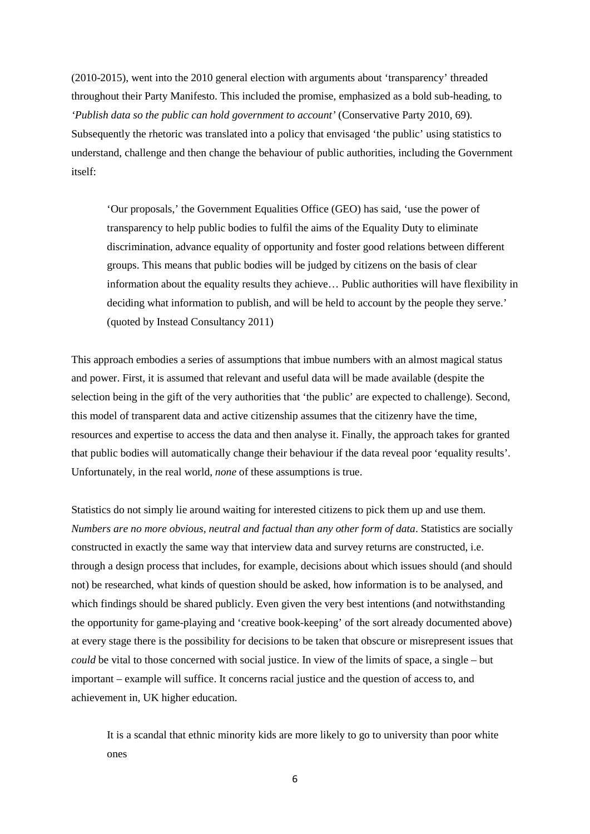(2010-2015), went into the 2010 general election with arguments about 'transparency' threaded throughout their Party Manifesto. This included the promise, emphasized as a bold sub-heading, to *'Publish data so the public can hold government to account'* (Conservative Party 2010, 69). Subsequently the rhetoric was translated into a policy that envisaged 'the public' using statistics to understand, challenge and then change the behaviour of public authorities, including the Government itself:

'Our proposals,' the Government Equalities Office (GEO) has said, 'use the power of transparency to help public bodies to fulfil the aims of the Equality Duty to eliminate discrimination, advance equality of opportunity and foster good relations between different groups. This means that public bodies will be judged by citizens on the basis of clear information about the equality results they achieve… Public authorities will have flexibility in deciding what information to publish, and will be held to account by the people they serve.' (quoted by Instead Consultancy 2011)

This approach embodies a series of assumptions that imbue numbers with an almost magical status and power. First, it is assumed that relevant and useful data will be made available (despite the selection being in the gift of the very authorities that 'the public' are expected to challenge). Second, this model of transparent data and active citizenship assumes that the citizenry have the time, resources and expertise to access the data and then analyse it. Finally, the approach takes for granted that public bodies will automatically change their behaviour if the data reveal poor 'equality results'. Unfortunately, in the real world, *none* of these assumptions is true.

Statistics do not simply lie around waiting for interested citizens to pick them up and use them. *Numbers are no more obvious, neutral and factual than any other form of data*. Statistics are socially constructed in exactly the same way that interview data and survey returns are constructed, i.e. through a design process that includes, for example, decisions about which issues should (and should not) be researched, what kinds of question should be asked, how information is to be analysed, and which findings should be shared publicly. Even given the very best intentions (and notwithstanding the opportunity for game-playing and 'creative book-keeping' of the sort already documented above) at every stage there is the possibility for decisions to be taken that obscure or misrepresent issues that *could* be vital to those concerned with social justice. In view of the limits of space, a single – but important – example will suffice. It concerns racial justice and the question of access to, and achievement in, UK higher education.

It is a scandal that ethnic minority kids are more likely to go to university than poor white ones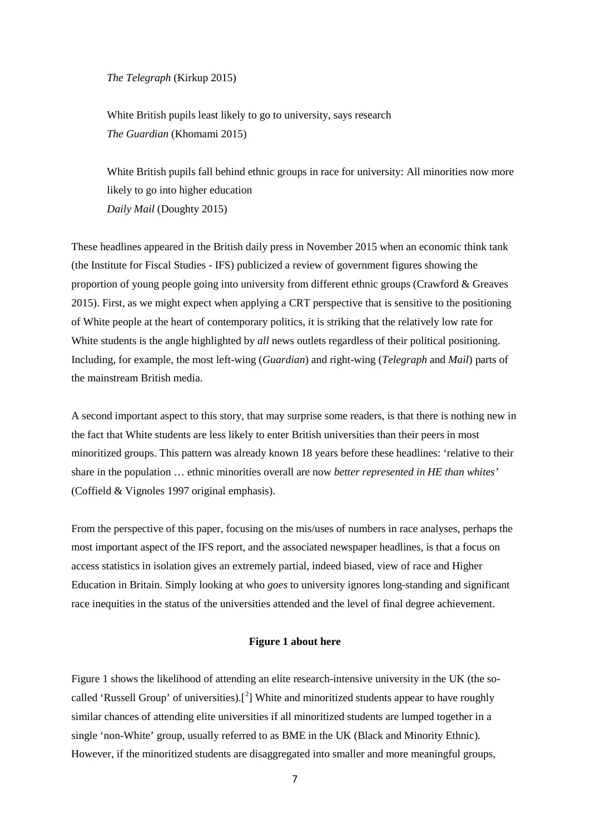*The Telegraph* (Kirkup 2015)

White British pupils least likely to go to university, says research *The Guardian* (Khomami 2015)

White British pupils fall behind ethnic groups in race for university: All minorities now more likely to go into higher education *Daily Mail* (Doughty 2015)

These headlines appeared in the British daily press in November 2015 when an economic think tank (the Institute for Fiscal Studies - IFS) publicized a review of government figures showing the proportion of young people going into university from different ethnic groups (Crawford & Greaves 2015). First, as we might expect when applying a CRT perspective that is sensitive to the positioning of White people at the heart of contemporary politics, it is striking that the relatively low rate for White students is the angle highlighted by *all* news outlets regardless of their political positioning. Including, for example, the most left-wing (*Guardian*) and right-wing (*Telegraph* and *Mail*) parts of the mainstream British media.

A second important aspect to this story, that may surprise some readers, is that there is nothing new in the fact that White students are less likely to enter British universities than their peers in most minoritized groups. This pattern was already known 18 years before these headlines: 'relative to their share in the population … ethnic minorities overall are now *better represented in HE than whites'* (Coffield & Vignoles 1997 original emphasis).

From the perspective of this paper, focusing on the mis/uses of numbers in race analyses, perhaps the most important aspect of the IFS report, and the associated newspaper headlines, is that a focus on access statistics in isolation gives an extremely partial, indeed biased, view of race and Higher Education in Britain. Simply looking at who *goes* to university ignores long-standing and significant race inequities in the status of the universities attended and the level of final degree achievement.

#### **Figure 1 about here**

Figure 1 shows the likelihood of attending an elite research-intensive university in the UK (the so-called 'Russell Group' of universities).<sup>[[2](#page-27-1)</sup>] White and minoritized students appear to have roughly similar chances of attending elite universities if all minoritized students are lumped together in a single 'non-White' group, usually referred to as BME in the UK (Black and Minority Ethnic). However, if the minoritized students are disaggregated into smaller and more meaningful groups,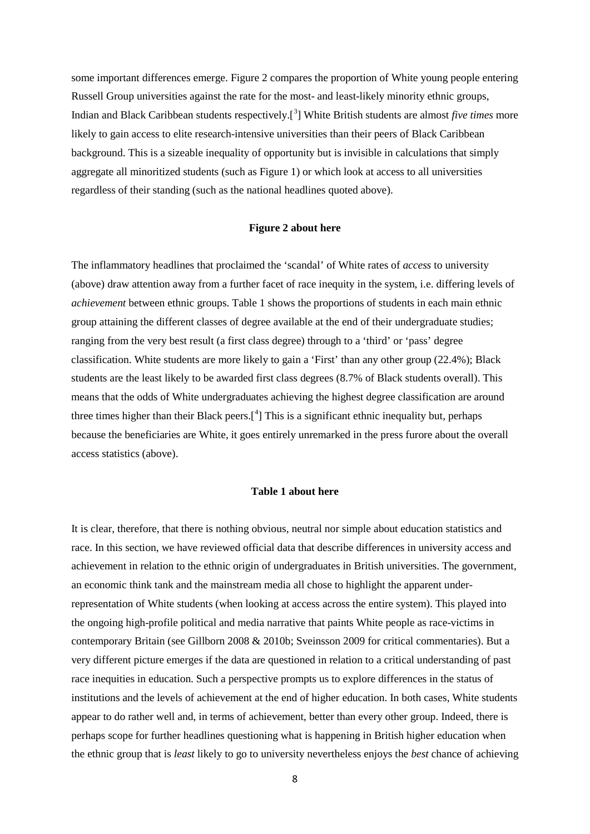some important differences emerge. Figure 2 compares the proportion of White young people entering Russell Group universities against the rate for the most- and least-likely minority ethnic groups, Indian and Black Caribbean students respectively.[ [3](#page-27-2) ] White British students are almost *five times* more likely to gain access to elite research-intensive universities than their peers of Black Caribbean background. This is a sizeable inequality of opportunity but is invisible in calculations that simply aggregate all minoritized students (such as Figure 1) or which look at access to all universities regardless of their standing (such as the national headlines quoted above).

#### **Figure 2 about here**

The inflammatory headlines that proclaimed the 'scandal' of White rates of *access* to university (above) draw attention away from a further facet of race inequity in the system, i.e. differing levels of *achievement* between ethnic groups. Table 1 shows the proportions of students in each main ethnic group attaining the different classes of degree available at the end of their undergraduate studies; ranging from the very best result (a first class degree) through to a 'third' or 'pass' degree classification. White students are more likely to gain a 'First' than any other group (22.4%); Black students are the least likely to be awarded first class degrees (8.7% of Black students overall). This means that the odds of White undergraduates achieving the highest degree classification are around three times higher than their Black peers. $\binom{4}{1}$  $\binom{4}{1}$  $\binom{4}{1}$  This is a significant ethnic inequality but, perhaps because the beneficiaries are White, it goes entirely unremarked in the press furore about the overall access statistics (above).

#### **Table 1 about here**

It is clear, therefore, that there is nothing obvious, neutral nor simple about education statistics and race. In this section, we have reviewed official data that describe differences in university access and achievement in relation to the ethnic origin of undergraduates in British universities. The government, an economic think tank and the mainstream media all chose to highlight the apparent underrepresentation of White students (when looking at access across the entire system). This played into the ongoing high-profile political and media narrative that paints White people as race-victims in contemporary Britain (see Gillborn 2008 & 2010b; Sveinsson 2009 for critical commentaries). But a very different picture emerges if the data are questioned in relation to a critical understanding of past race inequities in education. Such a perspective prompts us to explore differences in the status of institutions and the levels of achievement at the end of higher education. In both cases, White students appear to do rather well and, in terms of achievement, better than every other group. Indeed, there is perhaps scope for further headlines questioning what is happening in British higher education when the ethnic group that is *least* likely to go to university nevertheless enjoys the *best* chance of achieving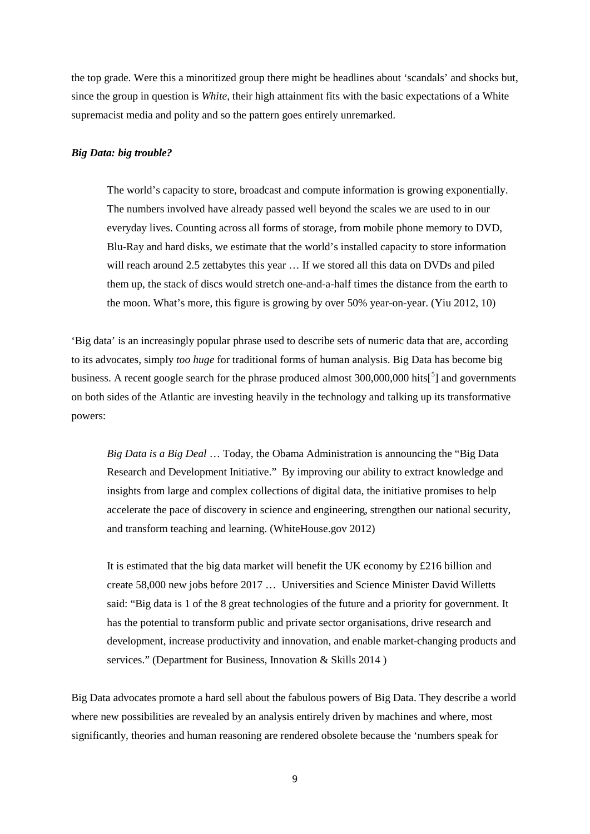the top grade. Were this a minoritized group there might be headlines about 'scandals' and shocks but, since the group in question is *White*, their high attainment fits with the basic expectations of a White supremacist media and polity and so the pattern goes entirely unremarked.

#### *Big Data: big trouble?*

The world's capacity to store, broadcast and compute information is growing exponentially. The numbers involved have already passed well beyond the scales we are used to in our everyday lives. Counting across all forms of storage, from mobile phone memory to DVD, Blu-Ray and hard disks, we estimate that the world's installed capacity to store information will reach around 2.5 zettabytes this year ... If we stored all this data on DVDs and piled them up, the stack of discs would stretch one-and-a-half times the distance from the earth to the moon. What's more, this figure is growing by over 50% year-on-year. (Yiu 2012, 10)

'Big data' is an increasingly popular phrase used to describe sets of numeric data that are, according to its advocates, simply *too huge* for traditional forms of human analysis. Big Data has become big business. A recent google search for the phrase produced almost 300,000,000 hits[<sup>[5](#page-28-1)</sup>] and governments on both sides of the Atlantic are investing heavily in the technology and talking up its transformative powers:

*Big Data is a Big Deal* … Today, the Obama Administration is announcing the "Big Data Research and Development Initiative." By improving our ability to extract knowledge and insights from large and complex collections of digital data, the initiative promises to help accelerate the pace of discovery in science and engineering, strengthen our national security, and transform teaching and learning. (WhiteHouse.gov 2012)

It is estimated that the big data market will benefit the UK economy by £216 billion and create 58,000 new jobs before 2017 … Universities and Science Minister David Willetts said: "Big data is 1 of the 8 great technologies of the future and a priority for government. It has the potential to transform public and private sector organisations, drive research and development, increase productivity and innovation, and enable market-changing products and services." (Department for Business, Innovation & Skills 2014 )

Big Data advocates promote a hard sell about the fabulous powers of Big Data. They describe a world where new possibilities are revealed by an analysis entirely driven by machines and where, most significantly, theories and human reasoning are rendered obsolete because the 'numbers speak for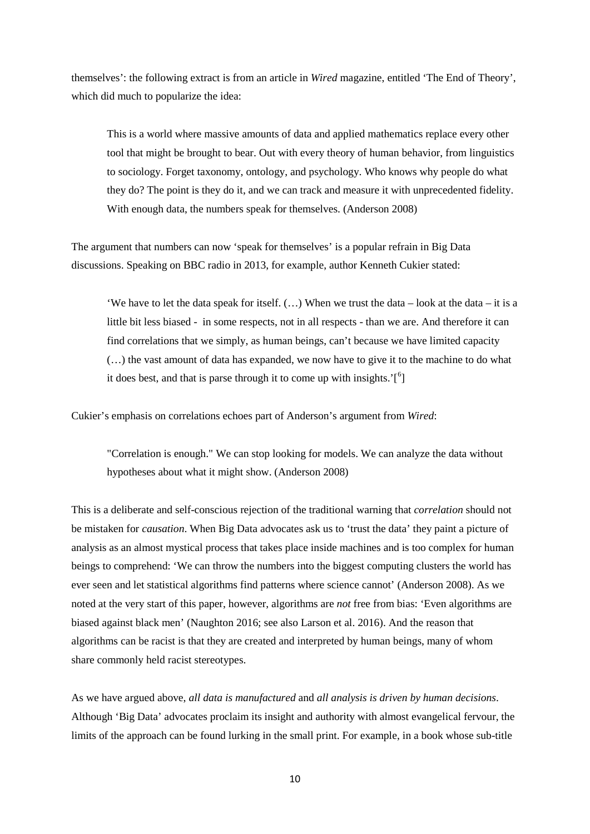themselves': the following extract is from an article in *Wired* magazine, entitled 'The End of Theory', which did much to popularize the idea:

This is a world where massive amounts of data and applied mathematics replace every other tool that might be brought to bear. Out with every theory of human behavior, from linguistics to sociology. Forget taxonomy, ontology, and psychology. Who knows why people do what they do? The point is they do it, and we can track and measure it with unprecedented fidelity. With enough data, the numbers speak for themselves. (Anderson 2008)

The argument that numbers can now 'speak for themselves' is a popular refrain in Big Data discussions. Speaking on BBC radio in 2013, for example, author Kenneth Cukier stated:

'We have to let the data speak for itself. (…) When we trust the data – look at the data – it is a little bit less biased - in some respects, not in all respects - than we are. And therefore it can find correlations that we simply, as human beings, can't because we have limited capacity (…) the vast amount of data has expanded, we now have to give it to the machine to do what it does best, and that is parse through it to come up with insights.'[<sup>[6](#page-28-2)</sup>]

Cukier's emphasis on correlations echoes part of Anderson's argument from *Wired*:

"Correlation is enough." We can stop looking for models. We can analyze the data without hypotheses about what it might show. (Anderson 2008)

This is a deliberate and self-conscious rejection of the traditional warning that *correlation* should not be mistaken for *causation*. When Big Data advocates ask us to 'trust the data' they paint a picture of analysis as an almost mystical process that takes place inside machines and is too complex for human beings to comprehend: 'We can throw the numbers into the biggest computing clusters the world has ever seen and let statistical algorithms find patterns where science cannot' (Anderson 2008). As we noted at the very start of this paper, however, algorithms are *not* free from bias: 'Even algorithms are biased against black men' (Naughton 2016; see also Larson et al. 2016). And the reason that algorithms can be racist is that they are created and interpreted by human beings, many of whom share commonly held racist stereotypes.

As we have argued above, *all data is manufactured* and *all analysis is driven by human decisions*. Although 'Big Data' advocates proclaim its insight and authority with almost evangelical fervour, the limits of the approach can be found lurking in the small print. For example, in a book whose sub-title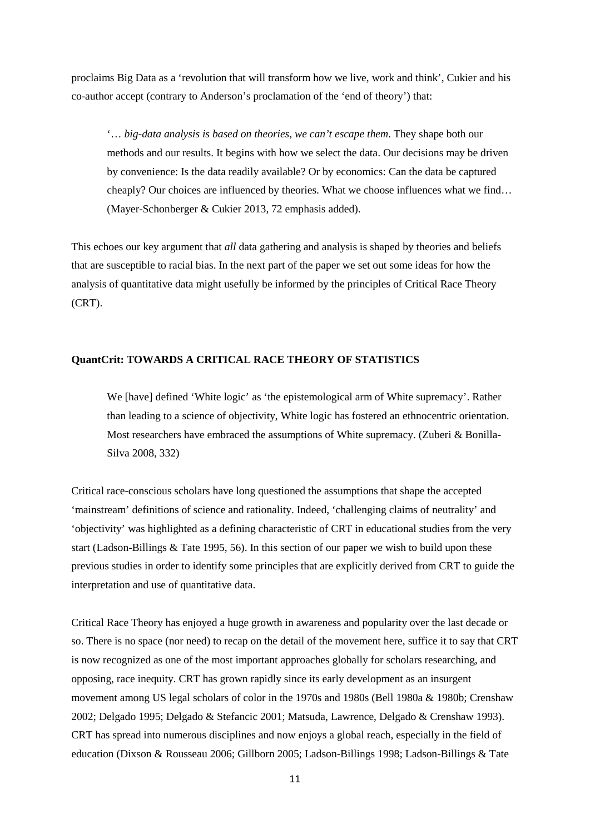proclaims Big Data as a 'revolution that will transform how we live, work and think', Cukier and his co-author accept (contrary to Anderson's proclamation of the 'end of theory') that:

'… *big-data analysis is based on theories, we can't escape them*. They shape both our methods and our results. It begins with how we select the data. Our decisions may be driven by convenience: Is the data readily available? Or by economics: Can the data be captured cheaply? Our choices are influenced by theories. What we choose influences what we find… (Mayer-Schonberger & Cukier 2013, 72 emphasis added).

This echoes our key argument that *all* data gathering and analysis is shaped by theories and beliefs that are susceptible to racial bias. In the next part of the paper we set out some ideas for how the analysis of quantitative data might usefully be informed by the principles of Critical Race Theory (CRT).

#### **QuantCrit: TOWARDS A CRITICAL RACE THEORY OF STATISTICS**

We [have] defined 'White logic' as 'the epistemological arm of White supremacy'. Rather than leading to a science of objectivity, White logic has fostered an ethnocentric orientation. Most researchers have embraced the assumptions of White supremacy. (Zuberi & Bonilla-Silva 2008, 332)

Critical race-conscious scholars have long questioned the assumptions that shape the accepted 'mainstream' definitions of science and rationality. Indeed, 'challenging claims of neutrality' and 'objectivity' was highlighted as a defining characteristic of CRT in educational studies from the very start (Ladson-Billings & Tate 1995, 56). In this section of our paper we wish to build upon these previous studies in order to identify some principles that are explicitly derived from CRT to guide the interpretation and use of quantitative data.

Critical Race Theory has enjoyed a huge growth in awareness and popularity over the last decade or so. There is no space (nor need) to recap on the detail of the movement here, suffice it to say that CRT is now recognized as one of the most important approaches globally for scholars researching, and opposing, race inequity. CRT has grown rapidly since its early development as an insurgent movement among US legal scholars of color in the 1970s and 1980s (Bell 1980a & 1980b; Crenshaw 2002; Delgado 1995; Delgado & Stefancic 2001; Matsuda, Lawrence, Delgado & Crenshaw 1993). CRT has spread into numerous disciplines and now enjoys a global reach, especially in the field of education (Dixson & Rousseau 2006; Gillborn 2005; Ladson-Billings 1998; Ladson-Billings & Tate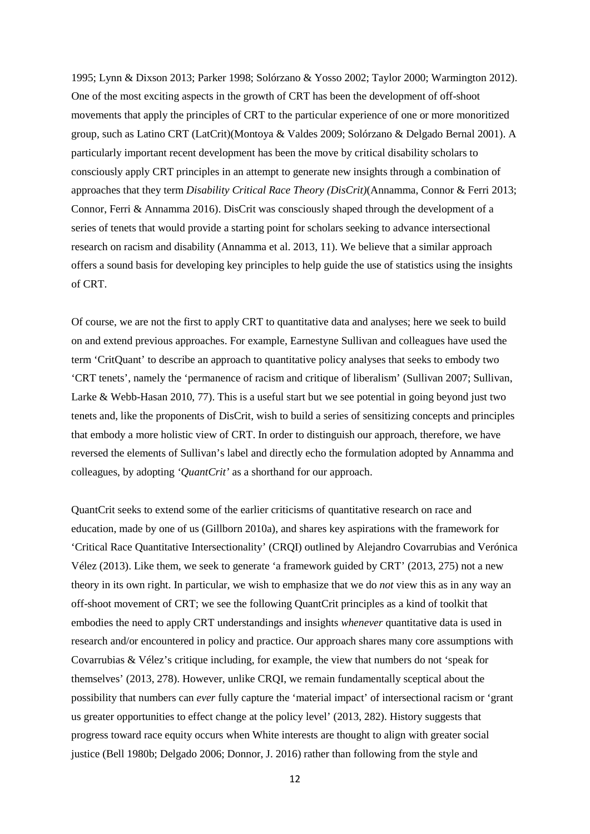1995; Lynn & Dixson 2013; Parker 1998; Solórzano & Yosso 2002; Taylor 2000; Warmington 2012). One of the most exciting aspects in the growth of CRT has been the development of off-shoot movements that apply the principles of CRT to the particular experience of one or more monoritized group, such as Latino CRT (LatCrit)(Montoya & Valdes 2009; Solórzano & Delgado Bernal 2001). A particularly important recent development has been the move by critical disability scholars to consciously apply CRT principles in an attempt to generate new insights through a combination of approaches that they term *Disability Critical Race Theory (DisCrit)*(Annamma, Connor & Ferri 2013; Connor, Ferri & Annamma 2016). DisCrit was consciously shaped through the development of a series of tenets that would provide a starting point for scholars seeking to advance intersectional research on racism and disability (Annamma et al. 2013, 11). We believe that a similar approach offers a sound basis for developing key principles to help guide the use of statistics using the insights of CRT.

Of course, we are not the first to apply CRT to quantitative data and analyses; here we seek to build on and extend previous approaches. For example, Earnestyne Sullivan and colleagues have used the term 'CritQuant' to describe an approach to quantitative policy analyses that seeks to embody two 'CRT tenets', namely the 'permanence of racism and critique of liberalism' (Sullivan 2007; Sullivan, Larke & Webb-Hasan 2010, 77). This is a useful start but we see potential in going beyond just two tenets and, like the proponents of DisCrit, wish to build a series of sensitizing concepts and principles that embody a more holistic view of CRT. In order to distinguish our approach, therefore, we have reversed the elements of Sullivan's label and directly echo the formulation adopted by Annamma and colleagues, by adopting *'QuantCrit'* as a shorthand for our approach.

QuantCrit seeks to extend some of the earlier criticisms of quantitative research on race and education, made by one of us (Gillborn 2010a), and shares key aspirations with the framework for 'Critical Race Quantitative Intersectionality' (CRQI) outlined by Alejandro Covarrubias and Verónica Vélez (2013). Like them, we seek to generate 'a framework guided by CRT' (2013, 275) not a new theory in its own right. In particular, we wish to emphasize that we do *not* view this as in any way an off-shoot movement of CRT; we see the following QuantCrit principles as a kind of toolkit that embodies the need to apply CRT understandings and insights *whenever* quantitative data is used in research and/or encountered in policy and practice. Our approach shares many core assumptions with Covarrubias & Vélez's critique including, for example, the view that numbers do not 'speak for themselves' (2013, 278). However, unlike CRQI, we remain fundamentally sceptical about the possibility that numbers can *ever* fully capture the 'material impact' of intersectional racism or 'grant us greater opportunities to effect change at the policy level' (2013, 282). History suggests that progress toward race equity occurs when White interests are thought to align with greater social justice (Bell 1980b; Delgado 2006; Donnor, J. 2016) rather than following from the style and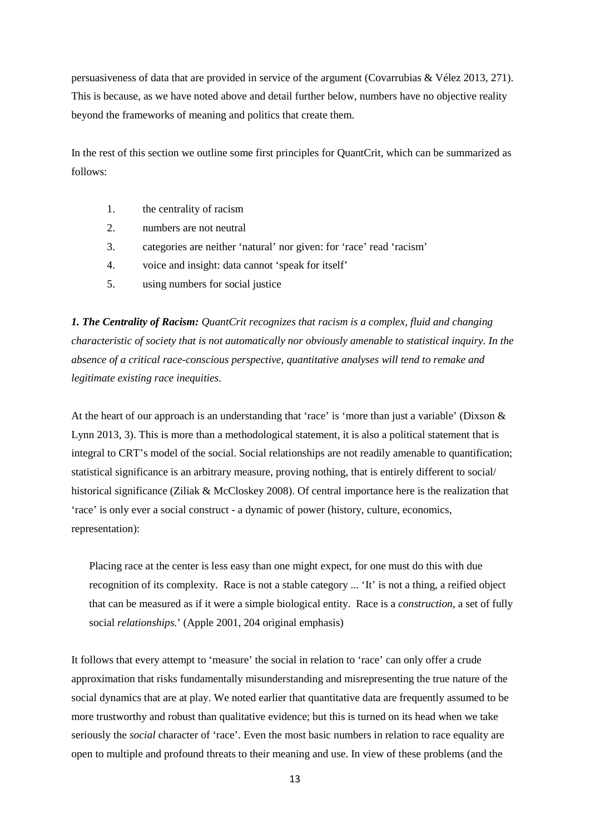persuasiveness of data that are provided in service of the argument (Covarrubias & Vélez 2013, 271). This is because, as we have noted above and detail further below, numbers have no objective reality beyond the frameworks of meaning and politics that create them.

In the rest of this section we outline some first principles for QuantCrit, which can be summarized as follows:

- 1. the centrality of racism
- 2. numbers are not neutral
- 3. categories are neither 'natural' nor given: for 'race' read 'racism'
- 4. voice and insight: data cannot 'speak for itself'
- 5. using numbers for social justice

*1. The Centrality of Racism: QuantCrit recognizes that racism is a complex, fluid and changing characteristic of society that is not automatically nor obviously amenable to statistical inquiry. In the absence of a critical race-conscious perspective, quantitative analyses will tend to remake and legitimate existing race inequities.*

At the heart of our approach is an understanding that 'race' is 'more than just a variable' (Dixson & Lynn 2013, 3). This is more than a methodological statement, it is also a political statement that is integral to CRT's model of the social. Social relationships are not readily amenable to quantification; statistical significance is an arbitrary measure, proving nothing, that is entirely different to social/ historical significance (Ziliak & McCloskey 2008). Of central importance here is the realization that 'race' is only ever a social construct - a dynamic of power (history, culture, economics, representation):

Placing race at the center is less easy than one might expect, for one must do this with due recognition of its complexity. Race is not a stable category ... 'It' is not a thing, a reified object that can be measured as if it were a simple biological entity. Race is a *construction*, a set of fully social *relationships*.' (Apple 2001, 204 original emphasis)

It follows that every attempt to 'measure' the social in relation to 'race' can only offer a crude approximation that risks fundamentally misunderstanding and misrepresenting the true nature of the social dynamics that are at play. We noted earlier that quantitative data are frequently assumed to be more trustworthy and robust than qualitative evidence; but this is turned on its head when we take seriously the *social* character of 'race'. Even the most basic numbers in relation to race equality are open to multiple and profound threats to their meaning and use. In view of these problems (and the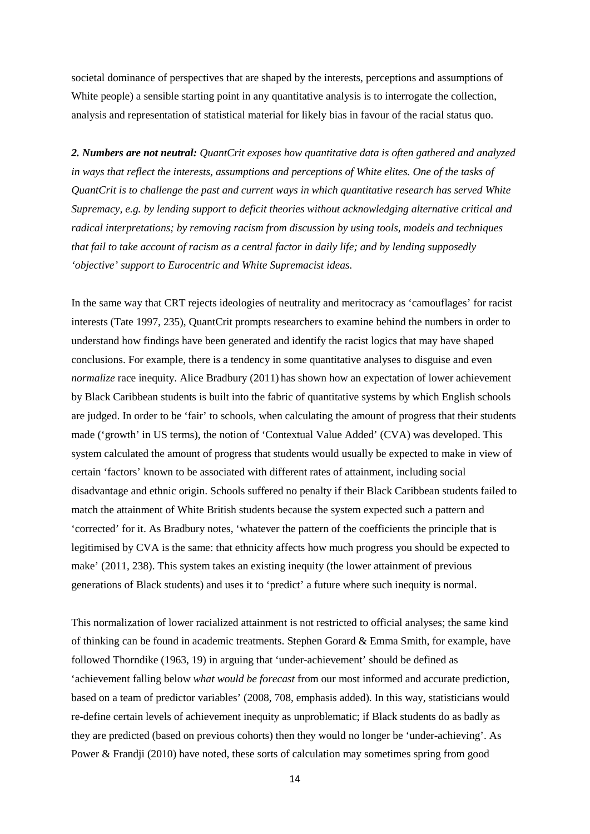societal dominance of perspectives that are shaped by the interests, perceptions and assumptions of White people) a sensible starting point in any quantitative analysis is to interrogate the collection, analysis and representation of statistical material for likely bias in favour of the racial status quo.

*2. Numbers are not neutral: QuantCrit exposes how quantitative data is often gathered and analyzed in ways that reflect the interests, assumptions and perceptions of White elites. One of the tasks of QuantCrit is to challenge the past and current ways in which quantitative research has served White Supremacy, e.g. by lending support to deficit theories without acknowledging alternative critical and radical interpretations; by removing racism from discussion by using tools, models and techniques that fail to take account of racism as a central factor in daily life; and by lending supposedly 'objective' support to Eurocentric and White Supremacist ideas.*

In the same way that CRT rejects ideologies of neutrality and meritocracy as 'camouflages' for racist interests (Tate 1997, 235), QuantCrit prompts researchers to examine behind the numbers in order to understand how findings have been generated and identify the racist logics that may have shaped conclusions. For example, there is a tendency in some quantitative analyses to disguise and even *normalize* race inequity. Alice Bradbury (2011) has shown how an expectation of lower achievement by Black Caribbean students is built into the fabric of quantitative systems by which English schools are judged. In order to be 'fair' to schools, when calculating the amount of progress that their students made ('growth' in US terms), the notion of 'Contextual Value Added' (CVA) was developed. This system calculated the amount of progress that students would usually be expected to make in view of certain 'factors' known to be associated with different rates of attainment, including social disadvantage and ethnic origin. Schools suffered no penalty if their Black Caribbean students failed to match the attainment of White British students because the system expected such a pattern and 'corrected' for it. As Bradbury notes, 'whatever the pattern of the coefficients the principle that is legitimised by CVA is the same: that ethnicity affects how much progress you should be expected to make' (2011, 238). This system takes an existing inequity (the lower attainment of previous generations of Black students) and uses it to 'predict' a future where such inequity is normal.

This normalization of lower racialized attainment is not restricted to official analyses; the same kind of thinking can be found in academic treatments. Stephen Gorard & Emma Smith, for example, have followed Thorndike (1963, 19) in arguing that 'under-achievement' should be defined as 'achievement falling below *what would be forecast* from our most informed and accurate prediction, based on a team of predictor variables' (2008, 708, emphasis added). In this way, statisticians would re-define certain levels of achievement inequity as unproblematic; if Black students do as badly as they are predicted (based on previous cohorts) then they would no longer be 'under-achieving'. As Power & Frandji (2010) have noted, these sorts of calculation may sometimes spring from good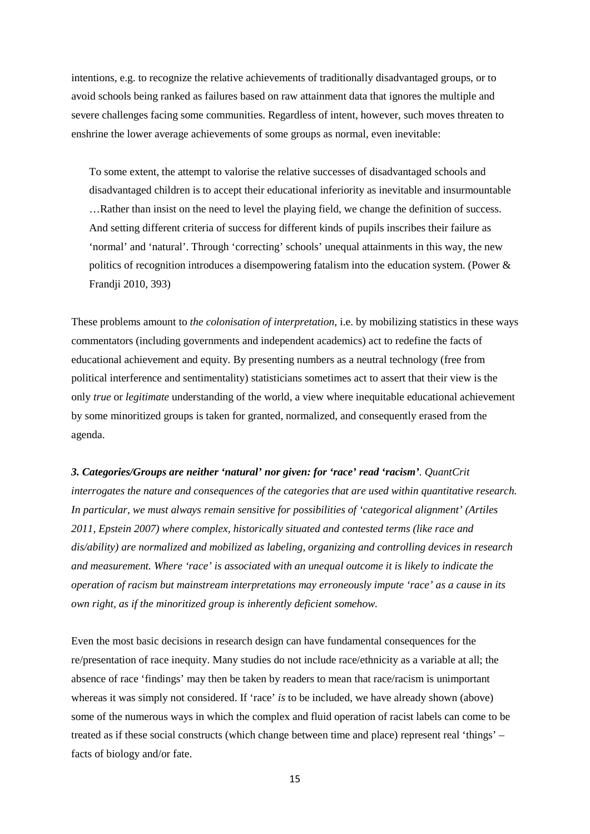intentions, e.g. to recognize the relative achievements of traditionally disadvantaged groups, or to avoid schools being ranked as failures based on raw attainment data that ignores the multiple and severe challenges facing some communities. Regardless of intent, however, such moves threaten to enshrine the lower average achievements of some groups as normal, even inevitable:

To some extent, the attempt to valorise the relative successes of disadvantaged schools and disadvantaged children is to accept their educational inferiority as inevitable and insurmountable …Rather than insist on the need to level the playing field, we change the definition of success. And setting different criteria of success for different kinds of pupils inscribes their failure as 'normal' and 'natural'. Through 'correcting' schools' unequal attainments in this way, the new politics of recognition introduces a disempowering fatalism into the education system. (Power & Frandji 2010, 393)

These problems amount to *the colonisation of interpretation*, i.e. by mobilizing statistics in these ways commentators (including governments and independent academics) act to redefine the facts of educational achievement and equity. By presenting numbers as a neutral technology (free from political interference and sentimentality) statisticians sometimes act to assert that their view is the only *true* or *legitimate* understanding of the world, a view where inequitable educational achievement by some minoritized groups is taken for granted, normalized, and consequently erased from the agenda.

## *3. Categories/Groups are neither 'natural' nor given: for 'race' read 'racism'. QuantCrit*

*interrogates the nature and consequences of the categories that are used within quantitative research. In particular, we must always remain sensitive for possibilities of 'categorical alignment' (Artiles 2011, Epstein 2007) where complex, historically situated and contested terms (like race and dis/ability) are normalized and mobilized as labeling, organizing and controlling devices in research and measurement. Where 'race' is associated with an unequal outcome it is likely to indicate the operation of racism but mainstream interpretations may erroneously impute 'race' as a cause in its own right, as if the minoritized group is inherently deficient somehow.*

Even the most basic decisions in research design can have fundamental consequences for the re/presentation of race inequity. Many studies do not include race/ethnicity as a variable at all; the absence of race 'findings' may then be taken by readers to mean that race/racism is unimportant whereas it was simply not considered. If 'race' *is* to be included, we have already shown (above) some of the numerous ways in which the complex and fluid operation of racist labels can come to be treated as if these social constructs (which change between time and place) represent real 'things' – facts of biology and/or fate.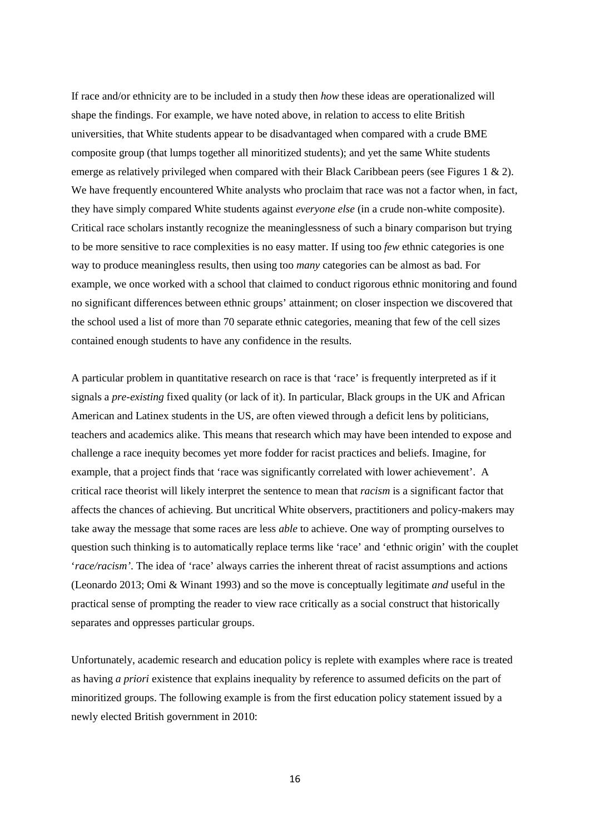If race and/or ethnicity are to be included in a study then *how* these ideas are operationalized will shape the findings. For example, we have noted above, in relation to access to elite British universities, that White students appear to be disadvantaged when compared with a crude BME composite group (that lumps together all minoritized students); and yet the same White students emerge as relatively privileged when compared with their Black Caribbean peers (see Figures 1  $\&$  2). We have frequently encountered White analysts who proclaim that race was not a factor when, in fact, they have simply compared White students against *everyone else* (in a crude non-white composite). Critical race scholars instantly recognize the meaninglessness of such a binary comparison but trying to be more sensitive to race complexities is no easy matter. If using too *few* ethnic categories is one way to produce meaningless results, then using too *many* categories can be almost as bad. For example, we once worked with a school that claimed to conduct rigorous ethnic monitoring and found no significant differences between ethnic groups' attainment; on closer inspection we discovered that the school used a list of more than 70 separate ethnic categories, meaning that few of the cell sizes contained enough students to have any confidence in the results.

A particular problem in quantitative research on race is that 'race' is frequently interpreted as if it signals a *pre-existing* fixed quality (or lack of it). In particular, Black groups in the UK and African American and Latinex students in the US, are often viewed through a deficit lens by politicians, teachers and academics alike. This means that research which may have been intended to expose and challenge a race inequity becomes yet more fodder for racist practices and beliefs. Imagine, for example, that a project finds that 'race was significantly correlated with lower achievement'. A critical race theorist will likely interpret the sentence to mean that *racism* is a significant factor that affects the chances of achieving. But uncritical White observers, practitioners and policy-makers may take away the message that some races are less *able* to achieve. One way of prompting ourselves to question such thinking is to automatically replace terms like 'race' and 'ethnic origin' with the couplet '*race/racism'*. The idea of 'race' always carries the inherent threat of racist assumptions and actions (Leonardo 2013; Omi & Winant 1993) and so the move is conceptually legitimate *and* useful in the practical sense of prompting the reader to view race critically as a social construct that historically separates and oppresses particular groups.

Unfortunately, academic research and education policy is replete with examples where race is treated as having *a priori* existence that explains inequality by reference to assumed deficits on the part of minoritized groups. The following example is from the first education policy statement issued by a newly elected British government in 2010: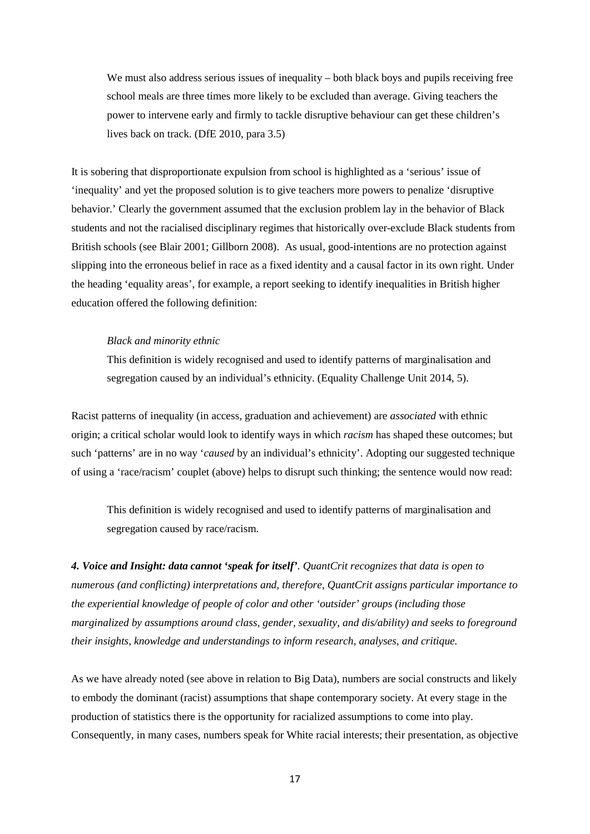We must also address serious issues of inequality – both black boys and pupils receiving free school meals are three times more likely to be excluded than average. Giving teachers the power to intervene early and firmly to tackle disruptive behaviour can get these children's lives back on track. (DfE 2010, para 3.5)

It is sobering that disproportionate expulsion from school is highlighted as a 'serious' issue of 'inequality' and yet the proposed solution is to give teachers more powers to penalize 'disruptive behavior.' Clearly the government assumed that the exclusion problem lay in the behavior of Black students and not the racialised disciplinary regimes that historically over-exclude Black students from British schools (see Blair 2001; Gillborn 2008). As usual, good-intentions are no protection against slipping into the erroneous belief in race as a fixed identity and a causal factor in its own right. Under the heading 'equality areas', for example, a report seeking to identify inequalities in British higher education offered the following definition:

#### *Black and minority ethnic*

This definition is widely recognised and used to identify patterns of marginalisation and segregation caused by an individual's ethnicity. (Equality Challenge Unit 2014, 5).

Racist patterns of inequality (in access, graduation and achievement) are *associated* with ethnic origin; a critical scholar would look to identify ways in which *racism* has shaped these outcomes; but such 'patterns' are in no way '*caused* by an individual's ethnicity'. Adopting our suggested technique of using a 'race/racism' couplet (above) helps to disrupt such thinking; the sentence would now read:

This definition is widely recognised and used to identify patterns of marginalisation and segregation caused by race/racism.

*4. Voice and Insight: data cannot 'speak for itself'. QuantCrit recognizes that data is open to numerous (and conflicting) interpretations and, therefore, QuantCrit assigns particular importance to the experiential knowledge of people of color and other 'outsider' groups (including those marginalized by assumptions around class, gender, sexuality, and dis/ability) and seeks to foreground their insights, knowledge and understandings to inform research, analyses, and critique.*

As we have already noted (see above in relation to Big Data), numbers are social constructs and likely to embody the dominant (racist) assumptions that shape contemporary society. At every stage in the production of statistics there is the opportunity for racialized assumptions to come into play. Consequently, in many cases, numbers speak for White racial interests; their presentation, as objective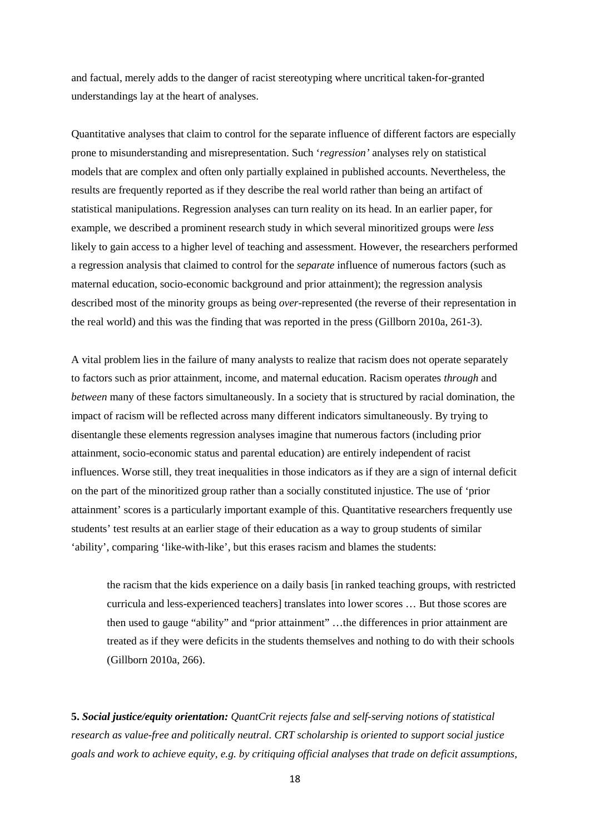and factual, merely adds to the danger of racist stereotyping where uncritical taken-for-granted understandings lay at the heart of analyses.

Quantitative analyses that claim to control for the separate influence of different factors are especially prone to misunderstanding and misrepresentation. Such '*regression'* analyses rely on statistical models that are complex and often only partially explained in published accounts. Nevertheless, the results are frequently reported as if they describe the real world rather than being an artifact of statistical manipulations. Regression analyses can turn reality on its head. In an earlier paper, for example, we described a prominent research study in which several minoritized groups were *less* likely to gain access to a higher level of teaching and assessment. However, the researchers performed a regression analysis that claimed to control for the *separate* influence of numerous factors (such as maternal education, socio-economic background and prior attainment); the regression analysis described most of the minority groups as being *over*-represented (the reverse of their representation in the real world) and this was the finding that was reported in the press (Gillborn 2010a, 261-3).

A vital problem lies in the failure of many analysts to realize that racism does not operate separately to factors such as prior attainment, income, and maternal education. Racism operates *through* and *between* many of these factors simultaneously. In a society that is structured by racial domination, the impact of racism will be reflected across many different indicators simultaneously. By trying to disentangle these elements regression analyses imagine that numerous factors (including prior attainment, socio-economic status and parental education) are entirely independent of racist influences. Worse still, they treat inequalities in those indicators as if they are a sign of internal deficit on the part of the minoritized group rather than a socially constituted injustice. The use of 'prior attainment' scores is a particularly important example of this. Quantitative researchers frequently use students' test results at an earlier stage of their education as a way to group students of similar 'ability', comparing 'like-with-like', but this erases racism and blames the students:

the racism that the kids experience on a daily basis [in ranked teaching groups, with restricted curricula and less-experienced teachers] translates into lower scores … But those scores are then used to gauge "ability" and "prior attainment" …the differences in prior attainment are treated as if they were deficits in the students themselves and nothing to do with their schools (Gillborn 2010a, 266).

**5.** *Social justice/equity orientation: QuantCrit rejects false and self-serving notions of statistical research as value-free and politically neutral. CRT scholarship is oriented to support social justice goals and work to achieve equity, e.g. by critiquing official analyses that trade on deficit assumptions,*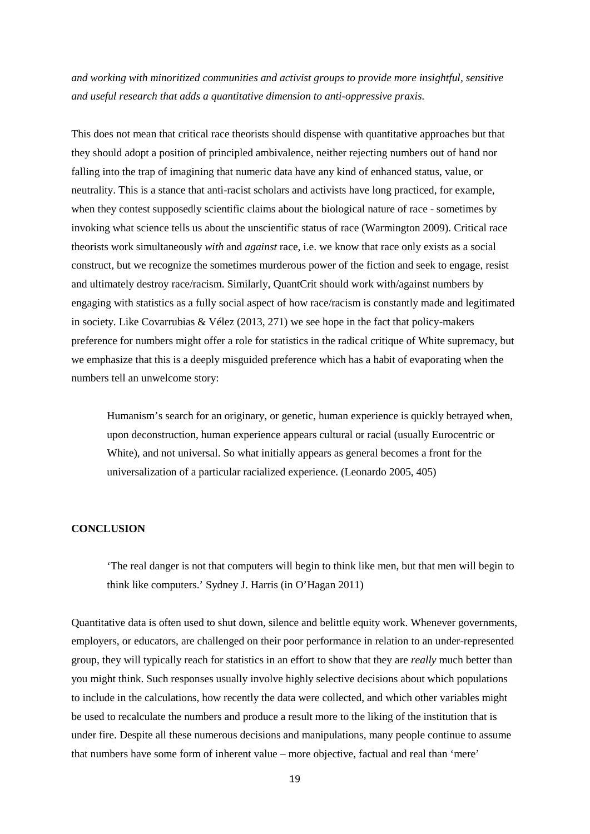*and working with minoritized communities and activist groups to provide more insightful, sensitive and useful research that adds a quantitative dimension to anti-oppressive praxis.*

This does not mean that critical race theorists should dispense with quantitative approaches but that they should adopt a position of principled ambivalence, neither rejecting numbers out of hand nor falling into the trap of imagining that numeric data have any kind of enhanced status, value, or neutrality. This is a stance that anti-racist scholars and activists have long practiced, for example, when they contest supposedly scientific claims about the biological nature of race - sometimes by invoking what science tells us about the unscientific status of race (Warmington 2009). Critical race theorists work simultaneously *with* and *against* race, i.e. we know that race only exists as a social construct, but we recognize the sometimes murderous power of the fiction and seek to engage, resist and ultimately destroy race/racism. Similarly, QuantCrit should work with/against numbers by engaging with statistics as a fully social aspect of how race/racism is constantly made and legitimated in society. Like Covarrubias & Vélez (2013, 271) we see hope in the fact that policy-makers preference for numbers might offer a role for statistics in the radical critique of White supremacy, but we emphasize that this is a deeply misguided preference which has a habit of evaporating when the numbers tell an unwelcome story:

Humanism's search for an originary, or genetic, human experience is quickly betrayed when, upon deconstruction, human experience appears cultural or racial (usually Eurocentric or White), and not universal. So what initially appears as general becomes a front for the universalization of a particular racialized experience. (Leonardo 2005, 405)

#### **CONCLUSION**

'The real danger is not that computers will begin to think like men, but that men will begin to think like computers.' Sydney J. Harris (in O'Hagan 2011)

Quantitative data is often used to shut down, silence and belittle equity work. Whenever governments, employers, or educators, are challenged on their poor performance in relation to an under-represented group, they will typically reach for statistics in an effort to show that they are *really* much better than you might think. Such responses usually involve highly selective decisions about which populations to include in the calculations, how recently the data were collected, and which other variables might be used to recalculate the numbers and produce a result more to the liking of the institution that is under fire. Despite all these numerous decisions and manipulations, many people continue to assume that numbers have some form of inherent value – more objective, factual and real than 'mere'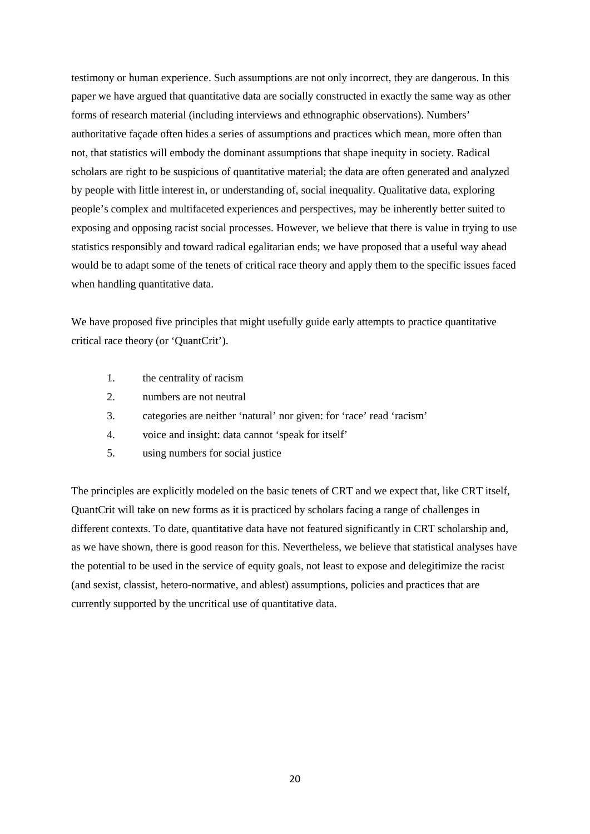testimony or human experience. Such assumptions are not only incorrect, they are dangerous. In this paper we have argued that quantitative data are socially constructed in exactly the same way as other forms of research material (including interviews and ethnographic observations). Numbers' authoritative façade often hides a series of assumptions and practices which mean, more often than not, that statistics will embody the dominant assumptions that shape inequity in society. Radical scholars are right to be suspicious of quantitative material; the data are often generated and analyzed by people with little interest in, or understanding of, social inequality. Qualitative data, exploring people's complex and multifaceted experiences and perspectives, may be inherently better suited to exposing and opposing racist social processes. However, we believe that there is value in trying to use statistics responsibly and toward radical egalitarian ends; we have proposed that a useful way ahead would be to adapt some of the tenets of critical race theory and apply them to the specific issues faced when handling quantitative data.

We have proposed five principles that might usefully guide early attempts to practice quantitative critical race theory (or 'QuantCrit').

- 1. the centrality of racism
- 2. numbers are not neutral
- 3. categories are neither 'natural' nor given: for 'race' read 'racism'
- 4. voice and insight: data cannot 'speak for itself'
- 5. using numbers for social justice

The principles are explicitly modeled on the basic tenets of CRT and we expect that, like CRT itself, QuantCrit will take on new forms as it is practiced by scholars facing a range of challenges in different contexts. To date, quantitative data have not featured significantly in CRT scholarship and, as we have shown, there is good reason for this. Nevertheless, we believe that statistical analyses have the potential to be used in the service of equity goals, not least to expose and delegitimize the racist (and sexist, classist, hetero-normative, and ablest) assumptions, policies and practices that are currently supported by the uncritical use of quantitative data.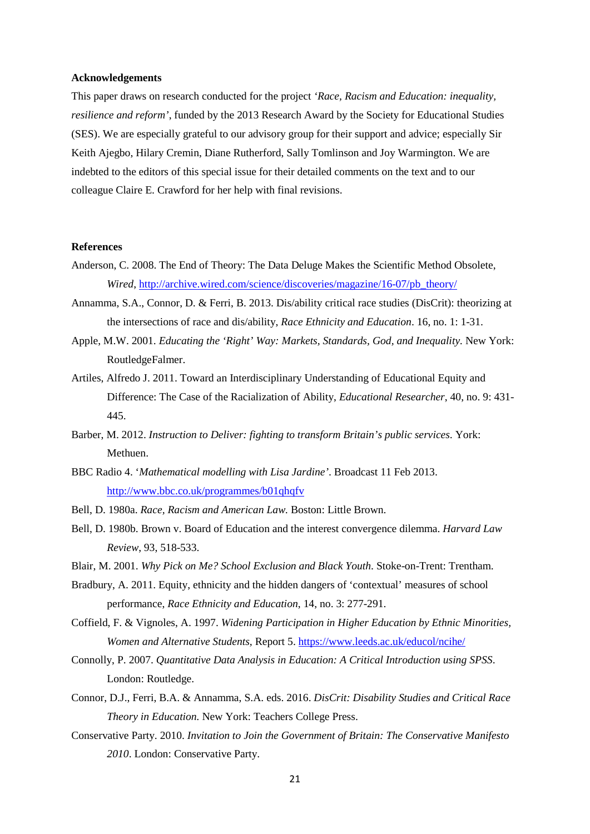#### **Acknowledgements**

This paper draws on research conducted for the project *'Race, Racism and Education: inequality, resilience and reform'*, funded by the 2013 Research Award by the Society for Educational Studies (SES). We are especially grateful to our advisory group for their support and advice; especially Sir Keith Ajegbo, Hilary Cremin, Diane Rutherford, Sally Tomlinson and Joy Warmington. We are indebted to the editors of this special issue for their detailed comments on the text and to our colleague Claire E. Crawford for her help with final revisions.

#### **References**

- Anderson, C. 2008. The End of Theory: The Data Deluge Makes the Scientific Method Obsolete, *Wired*, [http://archive.wired.com/science/discoveries/magazine/16-07/pb\\_theory/](http://archive.wired.com/science/discoveries/magazine/16-07/pb_theory/)
- Annamma, S.A., Connor, D. & Ferri, B. 2013. Dis/ability critical race studies (DisCrit): theorizing at the intersections of race and dis/ability, *Race Ethnicity and Education*. 16, no. 1: 1-31.
- Apple, M.W. 2001. *Educating the 'Right' Way: Markets, Standards, God, and Inequality.* New York: RoutledgeFalmer.
- Artiles, Alfredo J. 2011. Toward an Interdisciplinary Understanding of Educational Equity and Difference: The Case of the Racialization of Ability, *Educational Researcher*, 40, no. 9: 431- 445.
- Barber, M. 2012. *Instruction to Deliver: fighting to transform Britain's public services*. York: Methuen.
- BBC Radio 4. '*Mathematical modelling with Lisa Jardine'*. Broadcast 11 Feb 2013. <http://www.bbc.co.uk/programmes/b01qhqfv>
- Bell, D. 1980a. *Race, Racism and American Law.* Boston: Little Brown.
- Bell, D. 1980b. Brown v. Board of Education and the interest convergence dilemma. *Harvard Law Review*, 93, 518-533.
- Blair, M. 2001. *Why Pick on Me? School Exclusion and Black Youth*. Stoke-on-Trent: Trentham.
- Bradbury, A. 2011. Equity, ethnicity and the hidden dangers of 'contextual' measures of school performance, *Race Ethnicity and Education*, 14, no. 3: 277-291.
- Coffield, F. & Vignoles, A. 1997. *Widening Participation in Higher Education by Ethnic Minorities, Women and Alternative Students,* Report 5.<https://www.leeds.ac.uk/educol/ncihe/>
- Connolly, P. 2007. *Quantitative Data Analysis in Education: A Critical Introduction using SPSS*. London: Routledge.
- Connor, D.J., Ferri, B.A. & Annamma, S.A. eds. 2016. *DisCrit: Disability Studies and Critical Race Theory in Education.* New York: Teachers College Press.
- Conservative Party. 2010. *Invitation to Join the Government of Britain: The Conservative Manifesto 2010*. London: Conservative Party.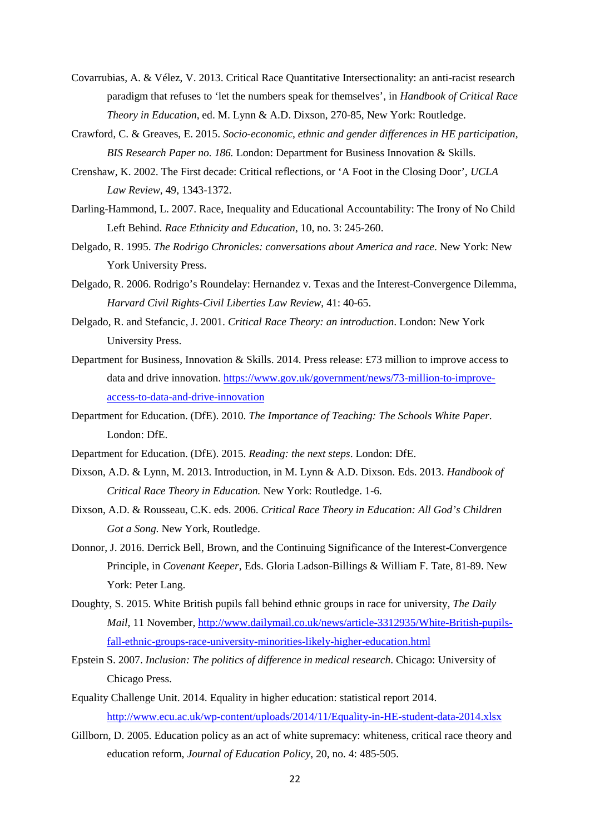- Covarrubias, A. & Vélez, V. 2013. Critical Race Quantitative Intersectionality: an anti-racist research paradigm that refuses to 'let the numbers speak for themselves', in *Handbook of Critical Race Theory in Education*, ed. M. Lynn & A.D. Dixson, 270-85, New York: Routledge.
- Crawford, C. & Greaves, E. 2015. *Socio-economic, ethnic and gender differences in HE participation, BIS Research Paper no. 186.* London: Department for Business Innovation & Skills.
- Crenshaw, K. 2002. The First decade: Critical reflections, or 'A Foot in the Closing Door', *UCLA Law Review*, 49, 1343-1372.
- Darling-Hammond, L. 2007. Race, Inequality and Educational Accountability: The Irony of No Child Left Behind. *Race Ethnicity and Education*, 10, no. 3: 245-260.
- Delgado, R. 1995. *The Rodrigo Chronicles: conversations about America and race*. New York: New York University Press.
- Delgado, R. 2006. Rodrigo's Roundelay: Hernandez v. Texas and the Interest-Convergence Dilemma, *Harvard Civil Rights-Civil Liberties Law Review*, 41: 40-65.
- Delgado, R. and Stefancic, J. 2001. *Critical Race Theory: an introduction*. London: New York University Press.
- Department for Business, Innovation & Skills. 2014. Press release: £73 million to improve access to data and drive innovation. [https://www.gov.uk/government/news/73-million-to-improve](https://www.gov.uk/government/news/73-million-to-improve-access-to-data-and-drive-innovation)[access-to-data-and-drive-innovation](https://www.gov.uk/government/news/73-million-to-improve-access-to-data-and-drive-innovation)
- Department for Education. (DfE). 2010. *The Importance of Teaching: The Schools White Paper*. London: DfE.
- Department for Education. (DfE). 2015. *Reading: the next steps*. London: DfE.
- Dixson, A.D. & Lynn, M. 2013. Introduction, in M. Lynn & A.D. Dixson. Eds. 2013. *Handbook of Critical Race Theory in Education.* New York: Routledge. 1-6.
- Dixson, A.D. & Rousseau, C.K. eds. 2006. *Critical Race Theory in Education: All God's Children Got a Song*. New York, Routledge.
- Donnor, J. 2016. Derrick Bell, Brown, and the Continuing Significance of the Interest-Convergence Principle, in *Covenant Keeper*, Eds. Gloria Ladson-Billings & William F. Tate, 81-89. New York: Peter Lang.
- Doughty, S. 2015. White British pupils fall behind ethnic groups in race for university, *The Daily Mail*, 11 November, [http://www.dailymail.co.uk/news/article-3312935/White-British-pupils](http://www.dailymail.co.uk/news/article-3312935/White-British-pupils-fall-ethnic-groups-race-university-minorities-likely-higher-education.html)[fall-ethnic-groups-race-university-minorities-likely-higher-education.html](http://www.dailymail.co.uk/news/article-3312935/White-British-pupils-fall-ethnic-groups-race-university-minorities-likely-higher-education.html)
- Epstein S. 2007. *Inclusion: The politics of difference in medical research*. Chicago: University of Chicago Press.
- Equality Challenge Unit. 2014. Equality in higher education: statistical report 2014. <http://www.ecu.ac.uk/wp-content/uploads/2014/11/Equality-in-HE-student-data-2014.xlsx>
- Gillborn, D. 2005. Education policy as an act of white supremacy: whiteness, critical race theory and education reform, *Journal of Education Policy*, 20, no. 4: 485-505.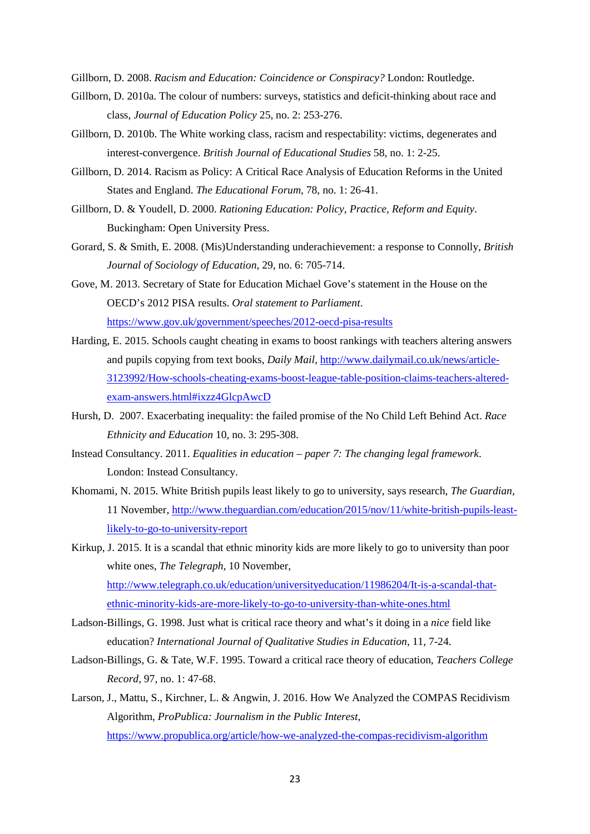Gillborn, D. 2008. *Racism and Education: Coincidence or Conspiracy?* London: Routledge.

- Gillborn, D. 2010a. The colour of numbers: surveys, statistics and deficit-thinking about race and class, *Journal of Education Policy* 25, no. 2: 253-276.
- Gillborn, D. 2010b. The White working class, racism and respectability: victims, degenerates and interest-convergence. *British Journal of Educational Studies* 58, no. 1: 2-25.
- Gillborn, D. 2014. Racism as Policy: A Critical Race Analysis of Education Reforms in the United States and England. *The Educational Forum*, 78, no. 1: 26-41.
- Gillborn, D. & Youdell, D. 2000. *Rationing Education: Policy, Practice, Reform and Equity*. Buckingham: Open University Press.
- Gorard, S. & Smith, E. 2008. (Mis)Understanding underachievement: a response to Connolly, *British Journal of Sociology of Education*, 29, no. 6: 705-714.
- Gove, M. 2013. Secretary of State for Education Michael Gove's statement in the House on the OECD's 2012 PISA results. *Oral statement to Parliament*. <https://www.gov.uk/government/speeches/2012-oecd-pisa-results>
- Harding, E. 2015. Schools caught cheating in exams to boost rankings with teachers altering answers and pupils copying from text books, *Daily Mail,* [http://www.dailymail.co.uk/news/article-](http://www.dailymail.co.uk/news/article-3123992/How-schools-cheating-exams-boost-league-table-position-claims-teachers-altered-exam-answers.html#ixzz4GlcpAwcD)[3123992/How-schools-cheating-exams-boost-league-table-position-claims-teachers-altered](http://www.dailymail.co.uk/news/article-3123992/How-schools-cheating-exams-boost-league-table-position-claims-teachers-altered-exam-answers.html#ixzz4GlcpAwcD)[exam-answers.html#ixzz4GlcpAwcD](http://www.dailymail.co.uk/news/article-3123992/How-schools-cheating-exams-boost-league-table-position-claims-teachers-altered-exam-answers.html#ixzz4GlcpAwcD)
- Hursh, D. 2007. Exacerbating inequality: the failed promise of the No Child Left Behind Act. *Race Ethnicity and Education* 10, no. 3: 295-308.
- Instead Consultancy. 2011. *Equalities in education – paper 7: The changing legal framework*. London: Instead Consultancy.
- Khomami, N. 2015. White British pupils least likely to go to university, says research, *The Guardian*, 11 November, [http://www.theguardian.com/education/2015/nov/11/white-british-pupils-least](http://www.theguardian.com/education/2015/nov/11/white-british-pupils-least-likely-to-go-to-university-report)[likely-to-go-to-university-report](http://www.theguardian.com/education/2015/nov/11/white-british-pupils-least-likely-to-go-to-university-report)

Kirkup, J. 2015. It is a scandal that ethnic minority kids are more likely to go to university than poor white ones, *The Telegraph,* 10 November, [http://www.telegraph.co.uk/education/universityeducation/11986204/It-is-a-scandal-that](http://www.telegraph.co.uk/education/universityeducation/11986204/It-is-a-scandal-that-ethnic-minority-kids-are-more-likely-to-go-to-university-than-white-ones.html)[ethnic-minority-kids-are-more-likely-to-go-to-university-than-white-ones.html](http://www.telegraph.co.uk/education/universityeducation/11986204/It-is-a-scandal-that-ethnic-minority-kids-are-more-likely-to-go-to-university-than-white-ones.html)

- Ladson-Billings, G. 1998. Just what is critical race theory and what's it doing in a *nice* field like education? *International Journal of Qualitative Studies in Education*, 11, 7-24.
- Ladson-Billings, G. & Tate, W.F. 1995. Toward a critical race theory of education, *Teachers College Record*, 97, no. 1: 47-68.
- Larson, J., Mattu, S., Kirchner, L. & Angwin, J. 2016. How We Analyzed the COMPAS Recidivism Algorithm, *ProPublica: Journalism in the Public Interest*, <https://www.propublica.org/article/how-we-analyzed-the-compas-recidivism-algorithm>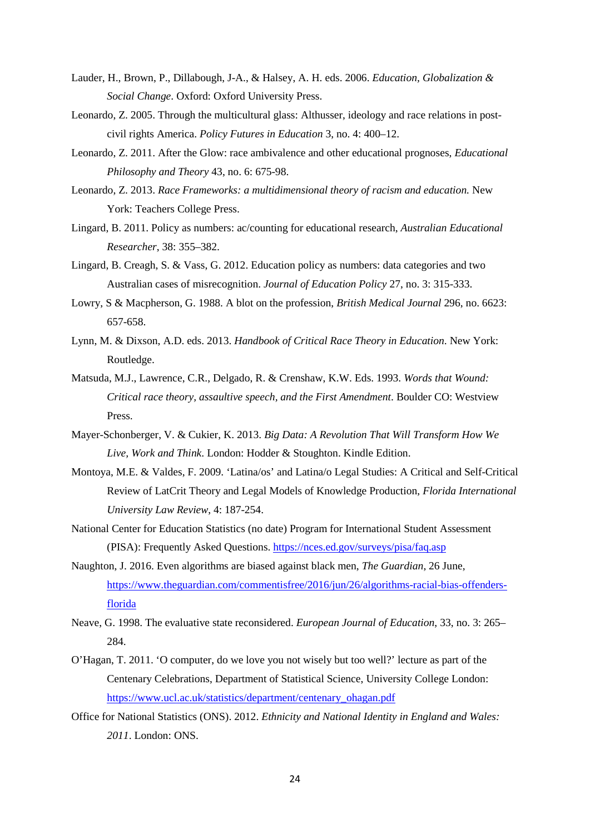- Lauder, H., Brown, P., Dillabough, J-A., & Halsey, A. H. eds. 2006. *Education, Globalization & Social Change*. Oxford: Oxford University Press.
- Leonardo, Z. 2005. Through the multicultural glass: Althusser, ideology and race relations in postcivil rights America. *Policy Futures in Education* 3, no. 4: 400–12.
- Leonardo, Z. 2011. After the Glow: race ambivalence and other educational prognoses, *Educational Philosophy and Theory* 43, no. 6: 675-98.
- Leonardo, Z. 2013. *Race Frameworks: a multidimensional theory of racism and education.* New York: Teachers College Press.
- Lingard, B. 2011. Policy as numbers: ac/counting for educational research, *Australian Educational Researcher*, 38: 355–382.
- Lingard, B. Creagh, S. & Vass, G. 2012. Education policy as numbers: data categories and two Australian cases of misrecognition. *Journal of Education Policy* 27, no. 3: 315-333.
- Lowry, S & Macpherson, G. 1988. A blot on the profession, *British Medical Journal* 296, no. 6623: 657-658.
- Lynn, M. & Dixson, A.D. eds. 2013. *Handbook of Critical Race Theory in Education*. New York: Routledge.
- Matsuda, M.J., Lawrence, C.R., Delgado, R. & Crenshaw, K.W. Eds. 1993. *Words that Wound: Critical race theory, assaultive speech, and the First Amendment*. Boulder CO: Westview Press.
- Mayer-Schonberger, V. & Cukier, K. 2013. *Big Data: A Revolution That Will Transform How We Live, Work and Think*. London: Hodder & Stoughton. Kindle Edition.
- Montoya, M.E. & Valdes, F. 2009. 'Latina/os' and Latina/o Legal Studies: A Critical and Self-Critical Review of LatCrit Theory and Legal Models of Knowledge Production, *Florida International University Law Review*, 4: 187-254.
- National Center for Education Statistics (no date) Program for International Student Assessment (PISA): Frequently Asked Questions[. https://nces.ed.gov/surveys/pisa/faq.asp](https://nces.ed.gov/surveys/pisa/faq.asp)
- Naughton, J. 2016. Even algorithms are biased against black men, *The Guardian*, 26 June, [https://www.theguardian.com/commentisfree/2016/jun/26/algorithms-racial-bias-offenders](https://www.theguardian.com/commentisfree/2016/jun/26/algorithms-racial-bias-offenders-florida)[florida](https://www.theguardian.com/commentisfree/2016/jun/26/algorithms-racial-bias-offenders-florida)
- Neave, G. 1998. The evaluative state reconsidered. *European Journal of Education*, 33, no. 3: 265– 284.
- O'Hagan, T. 2011. 'O computer, do we love you not wisely but too well?' lecture as part of the Centenary Celebrations, Department of Statistical Science, University College London: [https://www.ucl.ac.uk/statistics/department/centenary\\_ohagan.pdf](https://www.ucl.ac.uk/statistics/department/centenary_ohagan.pdf)
- Office for National Statistics (ONS). 2012. *Ethnicity and National Identity in England and Wales: 2011*. London: ONS.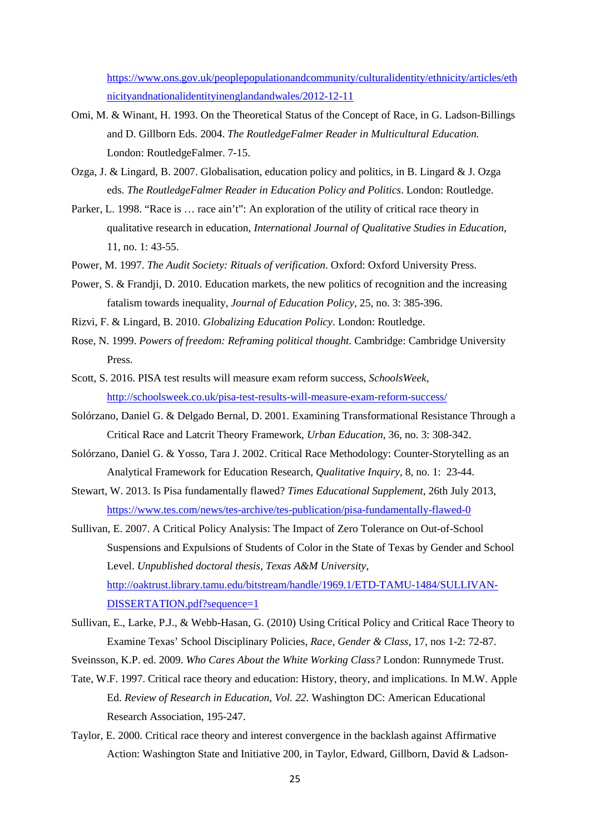[https://www.ons.gov.uk/peoplepopulationandcommunity/culturalidentity/ethnicity/articles/eth](https://www.ons.gov.uk/peoplepopulationandcommunity/culturalidentity/ethnicity/articles/ethnicityandnationalidentityinenglandandwales/2012-12-11) [nicityandnationalidentityinenglandandwales/2012-12-11](https://www.ons.gov.uk/peoplepopulationandcommunity/culturalidentity/ethnicity/articles/ethnicityandnationalidentityinenglandandwales/2012-12-11)

- Omi, M. & Winant, H. 1993. On the Theoretical Status of the Concept of Race, in G. Ladson-Billings and D. Gillborn Eds. 2004. *The RoutledgeFalmer Reader in Multicultural Education.* London: RoutledgeFalmer. 7-15.
- Ozga, J. & Lingard, B. 2007. Globalisation, education policy and politics, in B. Lingard & J. Ozga eds. *The RoutledgeFalmer Reader in Education Policy and Politics*. London: Routledge.
- Parker, L. 1998. "Race is ... race ain't": An exploration of the utility of critical race theory in qualitative research in education, *International Journal of Qualitative Studies in Education*, 11, no. 1: 43-55.
- Power, M. 1997. *The Audit Society: Rituals of verification*. Oxford: Oxford University Press.
- Power, S. & Frandji, D. 2010. Education markets, the new politics of recognition and the increasing fatalism towards inequality, *Journal of Education Policy*, 25, no. 3: 385-396.
- Rizvi, F. & Lingard, B. 2010. *Globalizing Education Policy*. London: Routledge.
- Rose, N. 1999. *Powers of freedom: Reframing political thought*. Cambridge: Cambridge University Press.
- Scott, S. 2016. PISA test results will measure exam reform success, *SchoolsWeek*, <http://schoolsweek.co.uk/pisa-test-results-will-measure-exam-reform-success/>
- Solórzano, Daniel G. & Delgado Bernal, D. 2001. Examining Transformational Resistance Through a Critical Race and Latcrit Theory Framework, *Urban Education*, 36, no. 3: 308-342.
- Solórzano, Daniel G. & Yosso, Tara J. 2002. Critical Race Methodology: Counter-Storytelling as an Analytical Framework for Education Research, *Qualitative Inquiry*, 8, no. 1: 23-44.
- Stewart, W. 2013. Is Pisa fundamentally flawed? *Times Educational Supplement*, 26th July 2013, <https://www.tes.com/news/tes-archive/tes-publication/pisa-fundamentally-flawed-0>
- Sullivan, E. 2007. A Critical Policy Analysis: The Impact of Zero Tolerance on Out-of-School Suspensions and Expulsions of Students of Color in the State of Texas by Gender and School Level. *Unpublished doctoral thesis, Texas A&M University*, [http://oaktrust.library.tamu.edu/bitstream/handle/1969.1/ETD-TAMU-1484/SULLIVAN-](http://oaktrust.library.tamu.edu/bitstream/handle/1969.1/ETD-TAMU-1484/SULLIVAN-DISSERTATION.pdf?sequence=1)[DISSERTATION.pdf?sequence=1](http://oaktrust.library.tamu.edu/bitstream/handle/1969.1/ETD-TAMU-1484/SULLIVAN-DISSERTATION.pdf?sequence=1)
- Sullivan, E., Larke, P.J., & Webb-Hasan, G. (2010) Using Critical Policy and Critical Race Theory to Examine Texas' School Disciplinary Policies, *Race, Gender & Class*, 17, nos 1-2: 72-87.

Sveinsson, K.P. ed. 2009. *Who Cares About the White Working Class?* London: Runnymede Trust.

- Tate, W.F. 1997. Critical race theory and education: History, theory, and implications. In M.W. Apple Ed. *Review of Research in Education, Vol. 22.* Washington DC: American Educational Research Association, 195-247.
- Taylor, E. 2000. Critical race theory and interest convergence in the backlash against Affirmative Action: Washington State and Initiative 200, in Taylor, Edward, Gillborn, David & Ladson-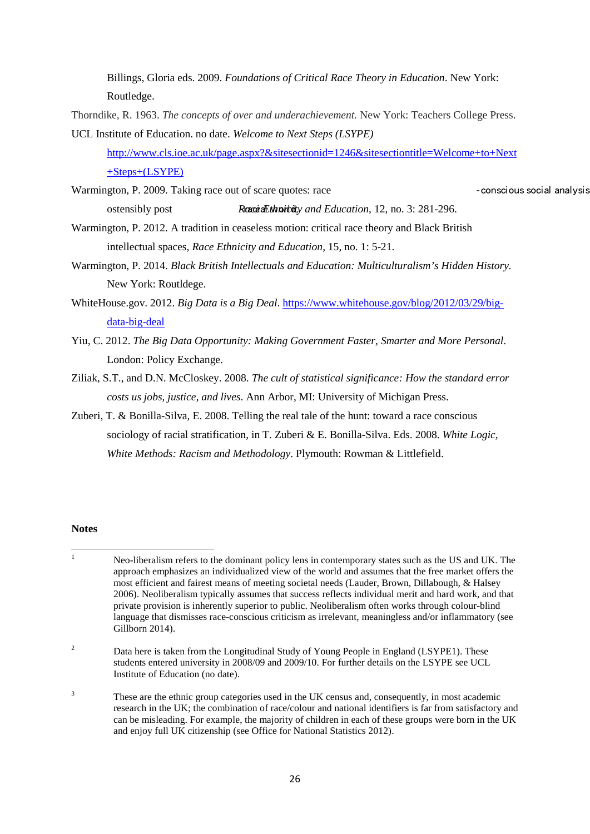Billings, Gloria eds. 2009. *Foundations of Critical Race Theory in Education*. New York: Routledge.

Thorndike, R. 1963. *The concepts of over and underachievement.* New York: Teachers College Press.

UCL Institute of Education. no date. *Welcome to Next Steps (LSYPE)*  [http://www.cls.ioe.ac.uk/page.aspx?&sitesectionid=1246&sitesectiontitle=Welcome+to+Next](http://www.cls.ioe.ac.uk/page.aspx?&sitesectionid=1246&sitesectiontitle=Welcome+to+Next+Steps+(LSYPE))

[+Steps+\(LSYPE\)](http://www.cls.ioe.ac.uk/page.aspx?&sitesectionid=1246&sitesectiontitle=Welcome+to+Next+Steps+(LSYPE))

- Warmington, P. 2009. Taking race out of scare quotes: race example of the set of scare quotes: race example of scare quotes: race example of scare quotes: race example of scare quotes: race example of scare quotes: race ex ostensibly post *Rrace Ethnical world, and Education*, 12, no. 3: 281-296.
- Warmington, P. 2012. A tradition in ceaseless motion: critical race theory and Black British intellectual spaces, *Race Ethnicity and Education*, 15, no. 1: 5-21.
- Warmington, P. 2014. *Black British Intellectuals and Education: Multiculturalism's Hidden History.* New York: Routldege.
- WhiteHouse.gov. 2012. *Big Data is a Big Deal*. [https://www.whitehouse.gov/blog/2012/03/29/big](https://www.whitehouse.gov/blog/2012/03/29/big-data-big-deal)[data-big-deal](https://www.whitehouse.gov/blog/2012/03/29/big-data-big-deal)
- Yiu, C. 2012. *The Big Data Opportunity: Making Government Faster, Smarter and More Personal*. London: Policy Exchange.
- Ziliak, S.T., and D.N. McCloskey. 2008. *The cult of statistical significance: How the standard error costs us jobs, justice, and lives*. Ann Arbor, MI: University of Michigan Press.
- Zuberi, T. & Bonilla-Silva, E. 2008. Telling the real tale of the hunt: toward a race conscious sociology of racial stratification, in T. Zuberi & E. Bonilla-Silva. Eds. 2008. *White Logic, White Methods: Racism and Methodology*. Plymouth: Rowman & Littlefield.

#### **Notes**

<span id="page-27-0"></span><sup>&</sup>lt;sup>1</sup> Neo-liberalism refers to the dominant policy lens in contemporary states such as the US and UK. The approach emphasizes an individualized view of the world and assumes that the free market offers the most efficient and fairest means of meeting societal needs (Lauder, Brown, Dillabough, & Halsey 2006). Neoliberalism typically assumes that success reflects individual merit and hard work, and that private provision is inherently superior to public. Neoliberalism often works through colour-blind language that dismisses race-conscious criticism as irrelevant, meaningless and/or inflammatory (see Gillborn 2014).

<span id="page-27-1"></span><sup>&</sup>lt;sup>2</sup> Data here is taken from the Longitudinal Study of Young People in England (LSYPE1). These students entered university in 2008/09 and 2009/10. For further details on the LSYPE see UCL Institute of Education (no date).

<span id="page-27-2"></span><sup>&</sup>lt;sup>3</sup> These are the ethnic group categories used in the UK census and, consequently, in most academic research in the UK; the combination of race/colour and national identifiers is far from satisfactory and can be misleading. For example, the majority of children in each of these groups were born in the UK and enjoy full UK citizenship (see Office for National Statistics 2012).